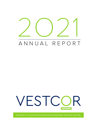# 2O21 ANNUAL REPORT

# VESTCOR

A partner in creating and delivering sustainable financial security.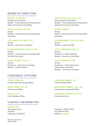## BOARD OF DIRECTORS

## **MICHAEL W. WALTON**

Chairperson of the Board Member – Human Resources & Compensation, Audit and Governance Committees

## **MICHEL ALLAIN, FCIA, FSA**

Director Member – Human Resources & Compensation Committee

## **LORI CLARK, CPA, CMA, ICD.D**

Director Member – Governance Committee

## **ELEANOR MARSHALL, CPA, CA, CFA**

Director Member – Human Resources & Compensation and Audit Committees

## **DANIEL MURRAY, CPA, CA**

Director Chairperson – Governance Committee Member – Audit Committee

## CORPORATE OFFICERS

**JOHN A. SINCLAIR** President and Chief Executive Officer

**BRENT HENRY, CPA, CA** Chief Financial Officer

**YING WU, CFA** Chief Compliance Officer

## CONTACT INFORMATION

**VESTCOR INC.**

140 Carleton Street Suite 400 Fredericton, NB E3B 3T4

## **DAVID LOSIER, CPA, CGA, ICD.D**

Vice-Chairperson of the Board Member – Human Resources & Compensation, Audit and Governance Committees

## **MICHEL DOIRON**

Director Member – Human Resources & Compensation Committee

#### **TIM MAWHINNEY, FCIA, FSA, CERA**

Director Member – Audit Committee

#### **CATHY RIGNANESI, FCPA, CA**

Director Chairperson – Audit Committee Member – Governance Committee

## **TANYA CHAPMAN, CPHR**

Director Chairperson – Human Resources & Compensation Committee Member – Governance Committee

**JONATHAN SPINNEY, CFA** Chief Investment Officer

**MARILYN MCCONNELL, CPA, CGA** Chief Pensions and Benefits Officer

**JENNIE NOEL-THÉRIAULT, GPC.D** Corporate Secretary

Telephone: 1-800-561-4012 Fax: (506) 444-5025 Website: **[vestcor.org](https://vestcor.org/)**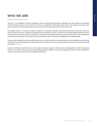## **WHO WE ARE**

Vestcor Inc. is an integrated investment management, pension and benefits administration organization that was created by the Legislative Assembly of New Brunswick under the *Vestcor Act*. We are an independent not-for-profit company who is not an agent of the Crown and is jointly owned by the New Brunswick Public Service Pension Plan and the New Brunswick Teachers' Pension Plan.

Our strategic mission is "To provide innovative, cost effective, and prudent investment and benefit administration services that address the needs of public sector funds". Oversight of the tailored services provided to our clients, a number of risk-controlled target benefit pension plans and other pools of investment capital, is provided by an independent expert Board of Directors appointed by our owners. We are regulated by the New Brunswick Financial and Consumer Services Commission as both an Investment Fund Manager and Portfolio Manager.

Vestcor provides a significant amount of public disclosure on our investment performance and operational results including the annual externally audited financial reporting information contained within this Annual Report. All of our public reporting and disclosure can be accessed through our website **[vestcor.org](https://vestcor.org/)**.

Located in Fredericton, New Brunswick, we are the largest investment manager in Atlantic Canada providing global investment management services to ten different client groups representing approximately \$21.0 billion in assets under management. We also provide administration services to eleven pension plans and four employee benefits plans.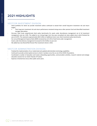# **2021 HIGHLIGHTS**

## VESTCOR INVESTMENT DIVISION:

- Client portfolios for which we provide investment advice continued to exceed their overall long-term investment risk and return targets.
	- Their long-term investment risk and return performance remained strong versus other pension fund and diversified investment manager alternatives.
- One-year Total Funds outperformed client policy benchmarks for assets under discretionary management net of all investment management costs by 2.10%. This added to our strong longer term four-year annualized net value added return which finished the year at 0.87%. This represents approximately \$652 million of additional return over client investment policy benchmarks.
- Our annual Management Expense Ratio (MER) remained low at 0.13% of total funds under management.
- Assets under discretionary management increased to \$21.0 billion at year end.
- We added two new Shared Risk Pension Plan investment clients in 2021.

## VESTCOR ADMINISTRATION DIVISION:

- Finalized the implementation of our modernized and updated administration technology capabilities.
- Continued to provide uninterrupted services to clients' members since the on-set of the COVID-19 pandemic.
- Coordinated a number of education and trustee onboarding opportunities, communication activities, research material and strategic education sessions for our clients' Boards of Trustees.
- Expenses remained low versus other public sector peers.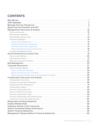# **CONTENTS**

| 2021 Highlights 2021 Highlights 2021 Highlights 2021 Highlights 2021 Highlights 2021 Highlights 2021 Highlights 2021 10:00 10:00 10:00 10:00 10:00 10:00 10:00 10:00 10:00 10:00 10:00 10:00 10:00 10:00 10:00 10:00 10:00 10:          |  |
|-----------------------------------------------------------------------------------------------------------------------------------------------------------------------------------------------------------------------------------------|--|
| Message from the Chairperson <b>Election</b> 24 Alessage from the Chairperson                                                                                                                                                           |  |
|                                                                                                                                                                                                                                         |  |
| Management's Discussion & Analysis <b>Management's</b> 10                                                                                                                                                                               |  |
| Clients and Services <b>Constitution</b> and Services <b>Constitution</b> and the service of the service of the service of the service of the service of the service of the service of the service of the service of the service of the |  |
|                                                                                                                                                                                                                                         |  |
|                                                                                                                                                                                                                                         |  |
|                                                                                                                                                                                                                                         |  |
| Assets Under Management <b>Management</b> Alleman Management of the Management Alleman Management Management Management                                                                                                                 |  |
|                                                                                                                                                                                                                                         |  |
|                                                                                                                                                                                                                                         |  |
|                                                                                                                                                                                                                                         |  |
|                                                                                                                                                                                                                                         |  |
|                                                                                                                                                                                                                                         |  |
|                                                                                                                                                                                                                                         |  |
| Public Equity Portfolios <b>Manual Communities</b> 21                                                                                                                                                                                   |  |
|                                                                                                                                                                                                                                         |  |
| Risk Management <b>Management</b> 24                                                                                                                                                                                                    |  |
| Corporate Governance <b>Commission Commission</b> 27                                                                                                                                                                                    |  |
| Board Committee Reports <b>Committee Reports</b> 29                                                                                                                                                                                     |  |
|                                                                                                                                                                                                                                         |  |
| Report of the Governance Committee <b>Committee Committee</b> 23                                                                                                                                                                        |  |
|                                                                                                                                                                                                                                         |  |
| Compensation Discussion and Analysis <b>Machinese Strategie and Analysis</b> 39                                                                                                                                                         |  |
| Compensation Governance <b>Company and Compensation</b> System 39                                                                                                                                                                       |  |
|                                                                                                                                                                                                                                         |  |
| Compensation Risk Management <b>Compensation</b> Risk Management <b>Compensation</b> 41                                                                                                                                                 |  |
|                                                                                                                                                                                                                                         |  |
|                                                                                                                                                                                                                                         |  |
| Impact of Performance Results <b>Constitute of Automakia and Automakia and Automakia and Automakia and Automakia and</b>                                                                                                                |  |
|                                                                                                                                                                                                                                         |  |
|                                                                                                                                                                                                                                         |  |
| Long-Term Incentive Plan (LTIP) Overview <b>Construction Construction</b> 50                                                                                                                                                            |  |
| Responsible Investing Guidelines <b>Manual Communities</b> 54                                                                                                                                                                           |  |
| Industry Relationships <b>Executive Strategie and Strategie Strategie Strategie Strategie Strategie Strategie Strategie Strategie Strategie Strategie Strategie Strategie Strategie Strategie Strategie Strategie Strategie Stra</b>    |  |
| Employee Activity in Our Community <b>Employee Activity</b> in Our Community <b>Activity</b> 155                                                                                                                                        |  |
| Vestcor Investment Entities Performance <b>Manual Communities</b> 56                                                                                                                                                                    |  |
|                                                                                                                                                                                                                                         |  |
| Management's Responsibility for Financial Statements <b>Constanting Construction</b> 60                                                                                                                                                 |  |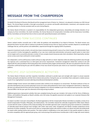# **MESSAGE FROM THE CHAIRPERSON**

On behalf of the Board of Directors (the Board) and the management team of Vestcor Inc. (Vestcor), I am pleased to introduce our 2021 Annual Report. This Annual Report provides a thorough accounting for our pension and benefits administration, investment, and corporate service operating activities in a format consistent with our prior Annual Reports.

The Vestcor Board of Directors is assisted in its responsibilities for the independent governance, stewardship and strategic direction of our company by three Committees: the Audit Committee, the Human Resources & Compensation Committee and the Governance Committee. Ad-Hoc Committees are formed from time to time to assist with special Board projects and initiatives.

## OUR LONG-TERM SUCCESS CONTINUES

Vestcor realized another successful year in 2021 under the guidance and stewardship of our Board of Directors. The Board remains very pleased that Vestcor has been able to continue to provide the essential services that our clients and their members depend on considering the challenges that we, and the partners and stakeholders, experienced through the ongoing COVID-19 pandemic.

Long-term investment results on both a risk and return basis remained strong and well in excess of our clients' targets. Our Administration Team was successful in further leveraging the capabilities of our new more modernized administration and pension payroll system to meet client service targets and to successfully automate a number of more complex shared risk pension plan client calculations. Most importantly, member service survey scores have continued to remain excellent.

Our independent, not-for-profit business model continues to align well with our clients' objectives while also delivering excellent value through low expenses and a customized focus on client goals and service requirements. Investment management related fees continue to be well aligned with the value provided to clients being above their investment policy targets and benchmarks. We were very pleased to have this value proposition confirmed during the year with the addition of two new shared risk pension plan clients to our investment management services platform.

## SPECIFIC 2021 GOVERNANCE ACTIVITIES

The Vestcor Board of Directors and their respective Committees continued to provide input and oversight with respect to annual corporate business plan goals and objectives and their link to industry best practices. During the year, our Committee Chairs underwent a rotation process as part of our ongoing Board succession planning and professional development activities.

Updated strategic human resource and related succession plans continue to be reviewed on an annual basis. The Board continues to focus on executive development and succession planning to ensure we remain well positioned for future senior management retirements or departures. We were very pleased that this focus led to the seamless integration of an internal candidate as part of an external search process for a new Chief Financial Officer role this year upon the retirement of the long-serving incumbent.

Additional governance improvement activities that were completed during the past year included a full review of all the Terms of Reference, Policies, and Guidelines that guide our Board's activities, and a full review, risk appetite assessment and update to our corporate Enterprise Risk Management Framework.

As noted in my letter in last year's Annual Report, the Board appointed an Ad-Hoc Compensation Review Committee to complete a review of our overall Compensation Principles, Philosophy, and related policies. The Committee retained the nationally recognized firm Willis Towers Watson to assist with this review. In advance of the study proceeding, the Committee approved a peer comparison group that consisted of a combination of nationally based internal pension fund managers with similar sized assets under management and Atlantic Canadian professional service businesses of similar complexity. This work ensures that our compensation polices will continue to allow us to attract and retain the professionals we require while meeting industry best practices. The study resulted in modifications to the salary bands of a few specific positions to allow us to remain competitive with the approved peer group, and a restructuring of the performance incentive plan in 2021 to align with recent industry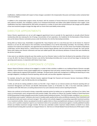modifications. Additional details with respect to these changes is provided in the Compensation Discussion and Analysis section contained later in this Annual Report.

In addition to the compensation program review, the Board, with the assistance of Human Resources & Compensation Committee and the same external consultant, also completed a review of our investment benchmarks and relative value-added investment return targets. A few modifications have been implemented for 2022 which correspond to a number of recent client actuarial discount rate changes and the addition of two new investment program changes that align with our recent client asset-liability review activity.

## DIRECTOR APPOINTMENTS

Vestcor Director appointments are set out with staggered appointment terms to provide for the opportunity to annually refresh Director membership while also reducing the risk of having a concentration of term expirations. Our Guidelines for the Nomination of New Directors sets out the Vestcor Director nomination process under the direction of an Ad-Hoc Nominating Committee.

During 2021 our Vestcor Corp. shareholders re-appointed Ms. Tanya Chapman and I to a new three-year term on the Vestcor Inc. Board of Directors as of June 30, 2021 based on the nomination recommendations of our Ad-Hoc Nominating Committee. The Committee, with the assistance of an external recruiting firm, also appointed two new Directors for similar terms: Ms. Lori Clark, Senior Vice President of Operations at NB Power, and Mr. Michel Doiron, a retired former Senior Assistant Deputy Minister with the Government of Canada. Ms. Clark and Mr. Doiron both replace prior Director retirements and have each added specific skills and diversity attributes of interest that were identified by the Ad-Hoc Committee.

It also came to our attention during the year that another one of our Directors' plans to retire from the Board at the expiration of their term on June 30, 2022. Our Board of Directors formed a new Ad-Hoc Nominating Committee prior to year end and have begun to develop their upcoming search process, in conjunction with Vestcor Corp.'s input.

## A RESPONSIBLE CORPORATE CITIZEN

Vestcor's Board of Directors continues to be engaged in a number of other activities in addition to our traditional Board of Director oversight activities. Vestcor Directors remain closely engaged with our management team and owner company Vestcor Corp. in providing oversight and advice in addressing the ongoing COVID pandemic challenges. The Board works closely with management in fulfilling and advancing our many oversight obligations, including our financial reporting, external audit, and securities regulation requirements.

For example, during the year Vestcor Directors became registered through the Financial and Consumer Services Commission (FCNB) as "Permitted Individuals" under the NB *Securities Act* and Regulations.

In 2022, we will also be making available to clients our first SOC 1 Type 1 Report on our internal controls over financial reporting with our Investment Management and Pension and Benefits Administration System as of December 31, 2021. It has been externally audited in accordance with CSAE 3416 and is an exciting advancement of our prior extensive internal control reporting framework.

Vestcor also continues to be focused on being a responsible corporate partner by making sure our operations, and those of our clients, have access to environmental, social, and governance best practice insights. We continue to endorse the Canadian Coalition of Good Governance (CCGG) Stewardship Principles alongside several other Canadian-based institutional investors. The CCGG Principles, available at **[ccgg.ca/policies](https://ccgg.ca/policies/)**, are specifically meant to guide "institutions who invest in Canadian public equities [to] be active and effective stewards of their investments and are directed to both asset owners and asset managers". We continue to be actively engaged in incorporating responsible investment practices in our investment activities. Vestcor was pleased to be able to update clients on these accomplishments during our virtual Client Forum event in June, and in a positive comparison report to our investment clients of our procedures and processes against a recently published Canadian Climate Law Initiative investment manager checklist. We have also undertaken another important related initiative on behalf of our clients and look forward to being able to provide our inaugural Vestcor Inc. Task Force on Climate Related Financial Disclosures (TCFD) report in 2022.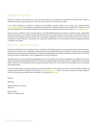## OTHER ACTIVITIES

Our Board of Directors and its Governance, Audit, and Human Resources & Compensation Committees were very active on a number of additional governance issues during the year as outlined in their respective sections later in this report.

It also remains important to recognize the support and accountability oversight activities of our Vestcor Corp. Shareholder Board (**[vestcor.org/vestcorcorp](https://vestcor.org/en/about-us/vestcor-corp/)**). Transparency and accountability continue to be an important focus of our Board. In addition to our regular owner and client reporting activities, we also publish a significant amount of governance related information on our website at **[vestcor.org/governance](https://vestcor.org/en/about-us/governance/)**.

We also provide a significant amount of public disclosure including detailed investment performance, operational results, compensation analysis and disclosure, and annual financial reporting information that is externally audited by a national public accounting firm with access to specific pension fund and investment expertise. Our compensation arrangements are based on industry best practices and are subject to oversight by our Board of Directors. They are open and transparently detailed further in this Annual Report and other associated material that is available on our website.

## NOTE OF APPRECIATION

On behalf of the Board and senior management team, I would like to acknowledge and thank our long-serving Director, Ms. Donna Bovolaneas, for her service as a Director of our organization upon her retirement from the Board when her term expired in June 2021. Donna was initially a director with one of our predecessor organizations, the NB Investment Management Corporation, and played an important role in the oversight of the process which created Vestcor and as an engaged Audit Committee Chairperson.

The Board continues to be very proud of the management team and our employees for what they accomplished in very difficult circumstances as the world navigated though the global pandemic. We continue to make good progress in building on Vestcor's independent financial services platform right here in New Brunswick to bring increased well aligned value to our current clients while continuing to assess new strategic growth opportunities.

I trust this report provides a thorough accounting of our corporate activities in 2021, however we continue to remain available to address any questions or provide further information by contacting us at **[comments@vestcor.org](mailto:comments@vestcor.org)** at your convenience. Please also note that a significant amount of other governance related material is available on our website at **[vestcor.org](https://vestcor.org/)**.

Sincerely,

[signed by]

Michael W. Walton, Chairperson Vestcor Inc.

March 28, 2022 Fredericton, New Brunswick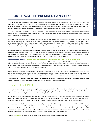# **REPORT FROM THE PRESIDENT AND CEO**

On behalf of Vestcor employees and our senior management team, I am pleased to report that even with the ongoing challenges of the global COVID-19 pandemic in 2021 we had a very successful year. Vestcor continued to provide solid long-term investment management performance and administration service results on behalf of our clients during a period of heightened global financial markets volatility, increased administration transaction processing volumes, and intensified member inquiries and service requests.

We were also pleased to welcome two new shared risk pension plans to our investment management platform during the year. We now provide services to 10 investment clients, 11 pension plans, and 4 employee benefit plans. These clients now represent over \$21 billion of financial assets, and over 106,000 plan members.

The Vestcor team made good progress against most of our 2021 annual business plan objectives in this challenging environment. Longterm client investment returns and risk levels remained well ahead of their respective targets, and our Pension and Benefits Administration Teams finalized the implementation of our new pension administration system which experienced a number of COVID related challenges and stakeholder complications during its' initial deployment last year. In fact, our most recent quarterly administration based Key Performance Indicators have returned to meet client targets and we expect to continue to improve this progress further in the new year.

Vestcor continues to also provide very cost-effective services to our clients versus other third-party alternatives. Administration based client expenses remained well within annual client budgets while investment expenses were slightly higher only due to variable incentive expenses associated with our achievement of record value-added investment performance over client benchmarks. These additional investment expenses resulted in a significant contribution to 2021 client returns as detailed later in this Annual Report.

#### **OUR CORPORATE PURPOSE: A PARTNER IN CREATING AND DELIVERING SUSTAINABLE FINANCIAL SECURITY.**

As part of the strategic focus of our management team, employees, and Board of Directors, we established the above noted corporate purpose statement during the year to encapsulate what we aim to accomplish on behalf of our clients and to act as a filter for our business planning process and daily operational decisions. The statement also encompasses our long-term focus on building sustainable pools of investment capital for our clients through our not-for-profit partnership model.

In order to confirm our Vestcor value proposition, and help substantiate our new corporate purpose statement, we conducted Vestcor's second biennial Client Satisfaction Survey during the year. We were pleased to see that the overall satisfaction rate of our clients remains high at 79% and we also welcomed a few related comments and suggestions that we will follow-up on to continue to improve our service offerings.

It also continues to be very encouraging to see that the specific member feedback we received throughout the year from our ongoing member services surveys remain strong and further confirms the value we bring to our client's plan members.

## COMMUNICATIONS FOCUS

Communication strategy has remained extremely important during the COVID pandemic. Our Communications Team continues to do an outstanding job by both assisting Vestcor Management in providing frequent operational updates and progress reports with our client Trustees, while at the same time assisting the Trustees to continue to keep their membership well informed.

Vestcor provided client Trustees with frequent financial markets updates from each of our Investment Teams throughout the year along with the development of a focused series of informative webinars on topics such as: Vestcor's responsible investment program, investment performance measurement and the Global Investment Performance Standards (GIPS®), investment policy benchmarks, and a cybersecurity update.

Other notable communication achievements conducted during the year included; i) our key role in assisting the NBPSPP and NBTPP conduct their member based Annual Information Meetings which are an important part in communicating Vestcor's long-term success in meeting the objectives of each of our respective shareholder pension plans, and ii) our September appearance before the Standing Committee on Public Accounts of the Legislative Assembly based on their invitation to provide an update on Vestcor's activities during 2019 and 2020, and to address questions with respect to the observations made in last year's Auditor General's 2020 Volume II Report.

Our website **[vestcor.org](https://vestcor.org/)** acts as an important resource for our client pension and employee benefit plans.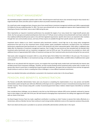## INVESTMENT MANAGEMENT

Our investment program continued to perform well in 2021. Overall long-term total fund returns also remained strong for those shared risk / target benefit plan clients and other pools of capital to whom we provide investment policy advice.

On a total funds under management basis, the gross return from overall Vestcor investment management activities was 9.46% or approximately \$1.9 billion for the year ended December 31, 2021. This return was achieved with our low management expense ratio of approximately 0.13%. Overall gross Pension Fund clients' returns were 9.48% during the year.

More importantly our long-term investment performance has exceeded the targets of our many shared risk / target benefit pension plan clients. Our four-year gross annualized overall pension client return of 7.52% per annum continues to be achieved with much lower realized risk than traditional defined benefit pension plans in line with their legislated requirements. Specific client returns are reported to their members through their own communication process, and many of these reports are available through their specific sections of our website.

Investment returns relative to our client's investment policy benchmarks reached a record high due to the strong active management performance from each of our four investment teams: private markets, equity, quantitative investments, and fixed income. Our investment performance outperformed client benchmarks by a record 2.23% during the year which represented approx. \$426 million in additional value added after the deduction of investment management expenses. Over a longer four-year period we have exceeded both the blended client investment policy benchmarks and our investment management costs by 0.87% per year. This performance has provided our clients with additional returns of approximately \$652 million of investment earnings over their investment policy benchmarks during the four-year period.

Total assets under management increased in 2021 to a new all-time high of \$21.0 billion from \$19.4 billion in the prior year. This increase in assets resulted from \$1,786 million in net investment earnings, net client payouts of \$(903) million, and \$693 million of additional client capital contributions.

While we are very pleased with this long-term success, we recognize that record high equity market levels and historically low interest rates will likely present future investment challenges. Therefore, we have recently finalized several investment policy reviews with a number of our pension plan clients to assist them in meeting their long-term goals and objectives. We expect that our long-term focus and low risk approach should continue to assist our clients in meeting their future challenges in a more difficult investment environment.

Much more detailed information and attribution is presented in the Investment section later in this Annual Report.

## PENSION AND BENEFITS ADMINISTRATION

The Pension and Benefits Administration Teams were very focused on completing the implementation of our new pension and benefits administration system during the year while also effectively continuing to service a significant increase in transactional processing volumes and member inquiries. These increases along with a number of provincial government labour relations related impacts intensified our workload near year end.

Even considering these challenges, we are pleased to note that our Key Performance Indicator (KPI) service standards continued to improve back to client targets in the latter half of the year. We look forward to leveraging these improvements into setting more aggressive KPI targets with our clients in the future.

Our Board Support Services Team has made a significant contribution in assisting our client Trustees to execute their duties effectively on a remote basis, while our Member Services Team continue to reach strong member satisfaction scores on the responsive assistance they provide.

Much more detail and discussion is provided on our pension and benefits administration activities later in this report.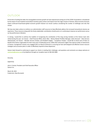## OUTLOOK

At the time of writing this letter the strong global economic growth we have experienced coming out of the COVID-19 pandemic is threatened by the impact of more hawkish Central Bank monetary policy actions and impacts from the tragic invasion of Ukraine. Most economic forecasts expect continued broad-based global economic growth however we remain cautious considering the number of challenges and risks that remain.

We have also taken actions to reinforce our administration staff resources to help effectively address the increased transactional volumes we experience. These resources along with the timely stakeholder contributions should assist us in continuing to improve our performance versus our key performance indicators.

In closing, I would like to continue the tradition of recognizing the contribution of five long serving members of the Vestcor team who retired during the year: Jan Imeson - Chief Financial Officer, Brian Allen - Money Market Portfolio Manager, Cathy Girouard – Data Services Administrator, Jim Hasson – Member Services Analyst, and Elizabeth Quigley – Compliance Analyst. I would like to thank each of them on behalf of the Vestcor organization for their many years of dedicated service. While 2021 witnessed a higher than typical number of retirements at Vestcor, management remains very engaged with our Board of Directors in ensuring we have well designed and effective human resource strategies and succession plans in order to effectively respond to these departures.

Vestcor looks forward to continuing to support our clients in meeting their challenges, and questions and comments are always welcome at **[comments@vestcor.org](mailto:comments@vestcor.org)** or by telephone through our reception team at 506-444-5800.

Sincerely,

[signed by]

John A. Sinclair, President and Chief Executive Officer Vestcor Inc.

March 28, 2022 Fredericton, New Brunswick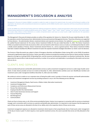# **MANAGEMENT'S DISCUSSION & ANALYSIS**

*Management's Discussion & Analysis (MD&A) is provided to enable the reader to interpret the material trends, the results and the financial condition of the organization. Key elements of the annual financial statements are explained, and this MD&A should be read in conjunction with these annual financial statements and related notes.* 

*As well, this MD&A may contain forward-looking statements reflecting management's objectives, outlook and expectations which involve risks and uncertainties. Forward-looking statements are usually preceded by words such as "believe", "expect", "may", "could", "intend", "continue" and "estimate". We caution readers not to place undue reliance on these statements as a number of important factors could cause our actual results to differ materially from the expectations expressed in such forward-looking statements.*

This Management's Discussion & Analysis provides an outline of the operations for Vestcor Inc. (Vestcor) for the year ended December 31, 2021. Our operations consist of two business lines: Administration Services and Investment Management Services. These lines of business are supported by three divisions – the administration division, investment division and corporate services division. Our website at **[vestcor.org](https://vestcor.org/)** also has available the audited financial statements for the various Vestcor Investment Entities for the year ended December 31, 2021. The Vestcor Investment Entities are pooled investment funds structured as either unit trust funds for which Vestcor serves as trustee or as limited partnerships for which a wholly owned subsidiary of Vestcor, Vestcor Investments General Partner, Inc., serves as general partner. These Vestcor Investment Entities have been created to facilitate the efficient investment of assets into separate investment strategies that deliver our clients' asset mix decisions.

The Province of New Brunswick was subject to State of Emergency directives and Mandatory Orders during 2021 as the COVID-19 pandemic continued to significantly impact the Province. Vestcor was able to continue to provide the essential services that our clients and their members depend on through our evolving COVID-19 Operating Plans, and the resources and directions provided in our Business Continuity Plan. We also appreciated the special efforts made during this period by a number of our partners and stakeholders in providing the information and services that we rely on.

## CLIENTS AND SERVICES

Vestcor provides both pension and benefits administration services as well as investment management services to a wide range of public sector clients. In total, Vestcor provides services to 21 clients at December 31, 2021. Administration activities cover over 106,000 plan members and investment assets under management (AUM) at December 31, 2021 were \$21.0 billion.

We continue to strive to realize on our corporate vision of being the public sector's provider of choice for pension and benefit administration services and investment management services by providing assistance in any or all of the following service offerings:

- Investment Management (Equity, Fixed Income, Inflation Linked, Alternative Investments)
- Investment Strategy Advice
- Compliance and Performance Measurement Services
- Pension Plan Administration
- Employee Benefits Plan Administration
- Client Trustee Governance Services and Support
- Financial Reporting
- Risk Management
- **Communications**

Clients are free to choose some, or all, of the services provided by Vestcor. Vestcor incurs expenses in connection with its services as investment manager and in connection with its services as a pension and benefits plan administrator. It is important to note however that the expenses for each of these service areas are allocated to the best of our ability only to the respective clients of those service areas.

Investment management expenses are allocated to investment clients based on their proportionate share of total assets under management on the day an invoice is paid. If a client requires a more specific investment service, the costs to provide that service are fully allocated to that client.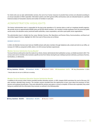For clients who use our plan administration services, the cost of our human resources to provide those services are allocated according to an annual evaluation of effort expended. Information systems and other general office and business costs are allocated based on a periodic historical analysis of transaction volumes and number of members in each plan.

## ADMINISTRATION HIGHLIGHTS

The Vestcor administration team is responsible for the day-to-day operations of 11 pension plans as well as 4 employee benefit programs. We provide service to approximately 68,000 active and 38,700 retired members. Our members include employees from the provincial public service sector, the education sector, provincial health authorities, crown corporations, and other quasi-public sector organizations.

The administration team is divided into four areas: Member Services, Plan Operations and Pension Policy, Communications, and Board and Committee Support Services. Highlights for 2021 from each of these areas are as follows:

#### MEMBER SERVICES

In 2021, the Member Services team had over 38,000 contacts with plans members through telephone calls, emails and visits to our office, an increase of 17.06% as compared to 2020, where a 12.12% increase had been experienced.

#### **Member Services Satisfaction Survey Results\***

To ensure that we continued to meet the needs of our clients, Vestcor administered client satisfaction surveys, as initially launched in 2017. The surveys were sent to members who received a specific service from Vestcor during the year relating to pension estimates, purchases of service, terminations, or retirements.



*\* Results above do not sum to 100% due to rounding.*

#### **Member Services Employee Education Session Satisfaction Results**

In addition to the services noted, Vestcor provided member education sessions. In 2021, despite COVID restrictions for much of the year, 522 plan members attended these sessions. The member sessions provided them the opportunity to learn more about the provisions of their pension and employee benefit plans. Those who attended the sessions were given a survey to complete. Of those who responded, they noted being very satisfied with the information they received, as outlined in the following table.

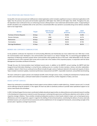#### PLAN OPERATIONS AND PENSION POLICY

During 2021, the team processed over 6,600 pension related applications which included a significant increase in retirement applications (12% higher than the previous two years) and termination applications (28% higher than 2020 and 25% higher than 2019). Throughout the year, the Operations team continued to focus on enhancing processes utilizing Vestcor's new modernized administration system. A large backlog of benefit calculations was completed while at the same time a concentrated effort was exerted to successfully bring service delivery standards back to near target levels.

| <b>Service</b>                      | <b>Target</b> | 2021 Number<br><b>Processed</b> | 2021<br><b>Achieved</b> | 2020<br><b>Achieved</b> |
|-------------------------------------|---------------|---------------------------------|-------------------------|-------------------------|
| <b>Purchase of Service Requests</b> | 60 days       | 701                             | 96.4%                   | 42.8%                   |
| <b>Pension Estimates</b>            | 60 days       | 1,984                           | 97.1%                   | 63.7%                   |
| <b>Retirements</b>                  | 60 days       | 2,088                           | 99.3%                   | 86.6%                   |
| <b>Terminations</b>                 | 30 days       | 1,674                           | 98.4%                   | 87.9%                   |
| Marriage Breakdowns                 | 42 days       | 166                             | 97.0%                   | 86.5%                   |

#### MEMBER AND CORPORATE COMMUNICATIONS

As the pandemic continued, the importance of communicating effectively and intentionally was more evident than ever. With that in mind, the Communications team developed a new communications plan based on our Vestcor Strategic Plan. Its overarching goal highlights the importance of delivering consistent purpose driven communication which guided the focus of the team. Initial deliverables of the new plan included the launch of the corporate client survey and an active role in the creation of the corporate purpose, in conjunction with the Senior Management Committee and Board of Directors.

Through the year, the Communications team facilitated several events. In addition to the NBPSPP's annual meeting, the NBTPP held their inaugural Annual Information Meeting in a virtual format, enabling access to a number of active members, retirees, and other stakeholders. In addition, Vestcor's Client Forum continued to be offered virtually through a series of webcasts tailored to the needs and requests of clients. Topics included: investment updates, investment performance measurement and GIPS®, responsible investment, and portfolio benchmarking.

The team continued to support pension and employee benefits clients through various means, including the development of tailored clientspecific communication plans, continued modernization of newsletters and forms, further integration of videos, and more.

#### BOARD SUPPORT SERVICES

Vestcor has continued to successfully adapt its board support services delivery model to enable hybrid (e.g., limited in-person and / or virtual) service offerings during the pandemic. In this regard, the team was able to seamlessly continue to provide robust operational support to our various client boards and committees.

In 2021, the Board Support Services team coordinated multiple educational opportunities via videoconference and conducted research resulting in the development of governance material to assist these groups in achieving their governance and fiduciary objectives and to deliver on their respective strategic initiatives. These activities included providing best practices to client boards related to topics such as board governance, effectiveness and risk management; support in regard to the drafting of internal board policies; coordinating the delivery of various externally facilitated sessions such as board triennial assessments and the establishment of risk management frameworks, and providing oversight of the pension plans' regulatory and legal requirements.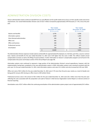## ADMINISTRATION DIVISION COSTS

Vestcor administration clients continue to benefit from our cost-effective not-for-profit model and our focus on their specific needs and service requirements. Our overall Administration Division costs of \$10.7 million increased by approximately \$744 thousand, or 7.5%, versus the prior year.

|                                | <b>Year ended</b><br><b>December 31, 2021</b><br>(\$ thousands) | <b>Year ended</b><br><b>December 31, 2020</b><br>(\$ thousands) |
|--------------------------------|-----------------------------------------------------------------|-----------------------------------------------------------------|
| Salaries and benefits          | \$<br>6,793                                                     | \$<br>6,430                                                     |
| Information systems            | 1,399                                                           | 1,394                                                           |
| Client directed administration | 594                                                             | 467                                                             |
| Office rent                    | 495                                                             | 468                                                             |
| Office and business            | 348                                                             | 305                                                             |
| Professional services          | 314                                                             | 245                                                             |
| Amortization                   | 726                                                             | 615                                                             |
|                                | 10,669                                                          | \$<br>9,924                                                     |

The Administration Division expenses include salaries and benefits for approximately 84 employees on a full-time, part-time, casual or contract basis. Salaries and benefits for the year ended December 31, 2021 were 5.6% higher than the costs in 2020. This reflects modest annual compensation increases as well as the filling of vacant positions. Further information on Vestcor's compensation program can be found in the Compensation Discussion and Analysis section of this Annual Report (see page 39).

Information systems costs continued to represent a large portion of the Administration Division's annual expenditures; however, with the implementation having been completed on the new administration system in 2020, information systems costs remained consistent with the prior year. For the year ended December 31, 2021, total information systems costs were \$1.4 million and only increased by 0.4% over 2020.

Office rent costs of \$0.5 million for the year ended December 31, 2021 were 5.7% more than the prior year, mainly as a result of double rent being paid for January 2021 during our office move to 140 Carleton Street.

Professional services costs in the amount of \$0.3 million for the year ended December 31, 2021 were \$0.1 million more than the prior year reflecting the costs associated with the preparation and audit of Vestcor's initial Service Organization Control Report on internal controls of financial reporting.

Amortization costs of \$0.7 million reflect the continuing amortization of the administration system project costs of approximately \$4.5 million.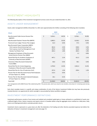## INVESTMENT HIGHLIGHTS

The following description of the investment management services covers the year ended December 31, 2021.

## ASSETS UNDER MANAGEMENT

Assets under management (AUM) at December 31, 2021 were approximately \$21.0 billion consisting of the following client mandates:

| <b>Client</b>                                                                                                                                               | 2021<br>(\$ millions)   |                      |    | 2020<br>(\$ millions)   |                      |
|-------------------------------------------------------------------------------------------------------------------------------------------------------------|-------------------------|----------------------|----|-------------------------|----------------------|
| New Brunswick Public Service Pension Plan<br>(NBPSPP)                                                                                                       | \$<br>9,354.1           | 44.5%                | Ś. | 8,746.1                 | 45.0%                |
| New Brunswick Teachers' Pension Plan (NBTPP)                                                                                                                | 6,985.5                 | 33.3%                |    | 6,518.2                 | 33.5%                |
| Provincial Court Judges' Pension Plan (Judges)                                                                                                              | 61.4                    | 0.3%                 |    | 57.5                    | 0.3%                 |
| New Brunswick Power Corporation (NBPC):<br>Point Lepreau Decommissioning Fund<br>Point Lepreau Used Fuel Management Fund<br><b>Nuclear Fuel Waste Trust</b> | 461.6<br>247.4<br>205.3 | 2.2%<br>1.2%<br>1.0% |    | 418.6<br>225.8<br>204.3 | 2.2%<br>1.2%<br>1.0% |
| Management Employees of New Brunswick<br>School Districts Pension Plan (NBSD) <sup>1</sup>                                                                  |                         |                      |    | 1.2                     | 0.0%                 |
| Shared Risk Plan for Academic Employees of<br>University of New Brunswick (AESRP)                                                                           | 447.1                   | 2.1%                 |    | 411.3                   | 2.1%                 |
| University of New Brunswick Endowment<br>Fund (UNBE)                                                                                                        | 66.6                    | 0.3%                 |    | 58.1                    | 0.3%                 |
| Shared Risk Plan for Certain Bargaining<br>Employees of New Brunswick Hospitals (CBE)                                                                       | 2,793.0                 | 13.3%                |    | 2,561.4                 | 13.2%                |
| Shared Risk Plan for City of Fredericton (CoF)                                                                                                              | 257.4                   | 1.2%                 |    | 239.4                   | 1.2%                 |
| Pension Plan for New Brunswick Hourly Paid Employees<br>of Fraser Papers Inc. (FPHR)                                                                        | 112.5                   | 0.5%                 |    |                         |                      |
| Pension Plan for New Brunswick Salaried Employees<br>of Fraser Papers Inc. (FPSAL)                                                                          | 26.1                    | 0.1%                 |    |                         |                      |
| <b>Total AUM</b>                                                                                                                                            | \$<br>21,018.0          | 100.0%               | \$ | 19,441.9                | 100.0%               |

*1 Our management of the NBSD Pension Plan ended during 2021. This pension plan, which was closed to new members, drew down its' remaining assets during the year.*

Each client mandate invests in a specific and unique combination of units of the Vestcor Investment Entities but may have also previously invested directly in an opportunity for which oversight is now provided by Vestcor portfolio managers.

## INVESTMENT PERFORMANCE DEFINITIONS

Investment performance consists of any income and realized and unrealized capital gains or losses achieved on a portfolio(s) of assets over a defined length of time. Vestcor measures and reports returns in Canadian dollars using the aggregate return method on a daily basis. Daily returns are linked geometrically to calculate periodic returns.

Investment returns expressed on a gross basis are after the deduction of all trading and other directly associated expenses but before the deduction of Vestcor's investment management costs (see page 17).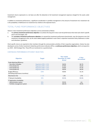Investment returns expressed on a net basis are after the deduction of all investment management expenses charged for the assets under management.

In addition to investment performance, a significant consideration in portfolio management is the amount of investment risk. Investment risk is the probability or likelihood of an investment loss relative to the expected return.

## TOTAL FUND PERFORMANCE OBJECTIVES

Vestcor's main investment performance objectives can be summarized as follows:

- a. The **primary investment performance objective** is to achieve the long-term return and risk performance that meet each client's specific return and risk targets, and
- b. The **secondary investment performance objective** is to exceed the investment performance benchmarks, over the long-term net of all investment management costs, by the value-added target(s) published in each client's respective Investment Policy Statement or other such directives / guidelines.

Client specific returns are reported to their members through the communication activities of their respective organizations. Vestcor has also developed a series of other investment-related key performance indicators (KPIs), as **continuous performance objectives**, which correspond to our 2019 - 2024 Strategic Plan. These KPIs are monitored on a quarterly basis.

#### CONTINUOUS PERFORMANCE EFFICIENCY OBJECTIVES

| <b>Objective</b>                                                                                            | <b>Target</b>                                                                                                             | <b>Year ended</b><br><b>December 31, 2021</b><br><b>Actual</b> | 4 Year<br><b>Annualized</b>      |
|-------------------------------------------------------------------------------------------------------------|---------------------------------------------------------------------------------------------------------------------------|----------------------------------------------------------------|----------------------------------|
| Trade-Matching Efficiency:<br>Securities Custodian<br>Prime Broker #1<br>Prime Broker #2<br>Prime Broker #3 | Regulatory $90\% + 2.5\%$<br><b>Regulatory 90% + 2.5%</b><br><b>Regulatory 90% + 2.5%</b><br><b>Regulatory 90% + 2.5%</b> | 96.0%<br>87.8%<br>95.8%<br>90.9%                               | 96.7%<br>93.4%<br>97.2%<br>94.4% |
| <b>Budget Efficiency</b><br>(excluding performance incentives)                                              | 100%                                                                                                                      | 90.8%                                                          | 91.1%                            |
| Absenteeism (%)                                                                                             | $\leq$ 2%                                                                                                                 | 1.3%                                                           | 1.7%                             |
| <b>IT Network Availability</b>                                                                              | 99%                                                                                                                       | 99.9%                                                          | 99.9%                            |
| <b>IT Applications Availability</b><br>Administration system<br>Portfolio management system                 | 99%<br>99%                                                                                                                | 99.3%<br>100.0%                                                | n/a<br>99.9%                     |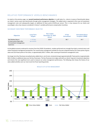## RELATIVE PERFORMANCE VERSUS BENCHMARKS

As noted on the previous page, our **second investment performance objective** is to add value (i.e., returns in excess of benchmarks) above our clients' various asset class benchmarks through active management strategies. This added value is expected to first cover all investment management costs and subsequently targets an additional 42 basis points (0.42%) per annum. This is a key measure for our clients and accordingly is also a key measure considered in Vestcor's variable performance compensation incentives.

#### SECONDARY INVESTMENT PERFORMANCE OBJECTIVE

| <b>Objective</b>                                                                              | Long-Term<br><b>Targets</b> | <b>Year ended</b><br><b>December 31, 2021</b><br><b>Actual</b> | 4 Year<br><b>Annualized</b> | <b>Annualized Since</b><br>Inception (1996) |
|-----------------------------------------------------------------------------------------------|-----------------------------|----------------------------------------------------------------|-----------------------------|---------------------------------------------|
| Net Relative Return<br>(in basis points (bps) after<br>all investment management<br>expenses) | $>= 42$ bps<br>per annum    | 210.4                                                          | 86.7                        | 24.7                                        |

As the global economy continued its recovery from the COVID-19 pandemic, markets performed very strongly from both a nominal return and active investment management perspective. Our overall active management activities for the year outperformed by 223.2 basis points of gross value and 210.4 basis points of net value, or approximately \$425.7 million, after covering all investment management costs.

Our longer-term four fiscal year annualized value-added return, net of costs, remained strong at approximately 86.7 basis points or approximately \$651.9 million in additional value over the four fiscal years. The four fiscal year term aligns well with our clients' long-term investment objectives and remains the most significant term used to measure our active management performance. The following chart shows the history of our value-added activities over our most recent ten fiscal reporting periods.



## RESULTS OF ACTIVE MANAGEMENT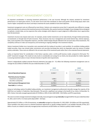## INVESTMENT MANAGEMENT COSTS

An important consideration in assessing investment performance is the cost incurred. Although the industry standard for investment performance is to report gross returns, it is the return net of costs that contributes to client asset growth. All else being equal, lower costs result in higher comparative net returns and help to maximize the assets available to fund client objectives.

Investment management costs are influenced by many factors. Industry cost comparisons prove that it is generally more efficient to manage assets internally than to outsource the investment process to third parties. Also, passive investment strategies, those strategies that are designed to replicate a market index, are less expensive than active strategies which depend on expert judgment to differentiate return opportunities from the benchmark.

Investment structure also impacts total costs. For example, private market investments can be made directly, through limited partnerships, co-investments or through fund of funds structures. These structures may incur management and carried interest fees, interest expenses, taxes, asset acquisition and or disposition expenses, and other related charges that get reflected in the net asset value of the investments. This complexity continues to make cost transparency and monitoring an ongoing challenge in the investment industry.

Vestcor Investment Entities incur transaction costs associated with the trading of securities in each portfolio. For portfolios holding publicly traded securities, these may include broker commissions and securities borrowing fees which are dependent upon the volume of trading activity undertaken. These costs are reflected in the net asset value of the investment pools rather than in the corporate financial statements.

Lastly, an important factor for consideration is that Vestcor operates under a not-for-profit business model, compared to third party "forprofit" investment managers. This model not only results in considerable cost savings for our clients, but also provides for a better alignment in ensuring investment advice is truly in the best interests of specific client requirements.

Vestcor's independently audited corporate financial statements (see pages 59 - 71) reflect the following investment management costs to manage the \$21.0 billion of AUM for the year ended December 31, 2021:

|                                                                 | 2021<br>(\$ thousands) |          |    | 2020<br>(\$ thousands) |
|-----------------------------------------------------------------|------------------------|----------|----|------------------------|
| <b>Internal Operational Expenses</b>                            |                        | 22,464.7 | \$ | 17,582.8               |
| <b>Third Party Service Providers</b><br>Investment counsel fees |                        | 3,306.5  |    | 3,711.5                |
| Securities custody fees                                         |                        | 21.2     |    | 21.8                   |
| <b>Total Investment Management Costs</b>                        |                        | 25,792.4 | ċ  | 21,316.1               |
| Total AUM (in \$ millions)                                      |                        | 21,018.0 | \$ | 19,441.9               |

Using our technology systems for global trading activities, our investment management professionals internally manage the majority of the AUM from our location in Fredericton, New Brunswick. This permits a significant cost savings to the benefit of our clients. At December 31, 2021, Vestcor internally managed approximately \$17.8 billion or 85% of client AUM (2020 - \$16.9 billion and 87% respectively).

The costs incurred to manage investment strategies internally, measured against average **internally** managed AUM for the year ended December 31, 2021, were 0.12% or 11.6 basis points (bps) (2020 – 10.6 bps).

Approximately \$3.2 billion, or 15% of investments, are **externally** managed as at December 31, 2021 (2020 - \$2.6 billion and 13% respectively). These mandates arise when access to a desired investment opportunity or specific strategy expertise is not available internally. Of this, \$2.3 billion of assets are related to externally managed private investments and \$0.9 billion are related to publicly traded mandates.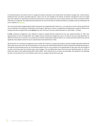As mentioned above, the external costs to manage the private investments may include direct and indirect manager fees, carried interest, professional fees and other associated expenses. These costs are not included in the Vestcor investment management costs but instead have been deducted in reporting the investment performance of each pooled fund as per industry practice (see *Vestcor Investment Entities Performance* on page 56). The audited financial statements for each of the Vestcor Investment Entities are available under the Publications tab on our website at **[vestcor.org](https://vestcor.org/)**.

The costs of externally managed publicly traded investments are charged directly to Vestcor Inc. in its capacity as trustee of these pooled funds and are reflected in the Statement of Operations and Changes in Net Assets in Vestcor's audited financial statements on page 65. Measured on average externally managed AUM, these **external** costs were 39.5 bps for the year ended December 31, 2021 (2020 – 51.0 bps).

**In total**, investment management costs reflected in Vestcor's audited financial statements for the year ended December 31, 2021 were approximately 12.7 bps of average AUM. This is higher than the investment management costs of 11.2 bps for the year ended December 31, 2020 due primarily to an increase in our performance incentive compensation expense linked to our strong investment performance and the significant value-added investment returns realized above client benchmarks in 2021.

We benchmark our investment management costs annually. We continue to compare favourably to publicly available information offered by other public sector peer funds. We also participate in an annual survey of defined benefit pension plans conducted by CEM Benchmarking Inc. Through this benchmarking activity, we conservatively believe that our costs continue to be approximately 22 bps lower than the average of our peers and 35 bps lower than private sector asset managers. This cost differential means that for the year ended December 31, 2021 our clients were able to retain approximately \$64.0 million (2020 - \$59.2 million) due to our lower cost advantage. This significant cost advantage has been a cornerstone of our service delivery value since our inception twenty-three years ago.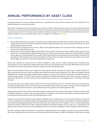# **ANNUAL PERFORMANCE BY ASSET CLASS**

The following discussion of annual investment performance is organized by each major Vestcor investment asset class, along with a more detailed breakdown by asset class sub-portfolio.

Vestcor offers a pooled fund structure consisting of unit trust funds, as well as limited partnership structures for private investments, through which clients can customize their specific investment allocations to achieve their unique investment objectives. For the investment performance by pooled fund, please refer to the Vestcor Investment Entities Performance (pages 56 - 58). The audited financial statements for the Vestcor Investment Entities for the year ended December 31, 2021 are available on our website at **[vestcor.org](https://vestcor.org/)**.

#### MARKET COMMENTARY

- Equity markets finished the year strongly. The broadest measure of global equities, the MSCI All Country World Index, gained over 18% in Canadian dollar terms for the calendar year while bond investors experienced modest value declines as benchmark interest rates moved modestly higher throughout the year.
- After several years of approximate 2% increases, inflation moved significantly higher in the second half of 2021, exceeding a 5% rate of year-over-year change towards year end.
- Going forward, market valuations suggest that diversified investors would be well served to expect relatively modest returns over the medium term. The dividend yield on the S&P 500 declined to just 1.25% at year end (the lowest reading since the 1999-2000 tech bubble) and the longer term Cyclically Adjusted Price Earnings ("CAPE") Ratio ended the year just below 40x, the second highest reading over the past 100 years. While valuations are far from perfect predictors of forward returns, the higher starting asset values will be a source of both market fragility in the short term and investor headwinds in the longer term.

Overall, 2021 continued the rebound from the COVID-19 shutdowns in 2020, and the so-called "reopening trade" proceeded almost uninterrupted to year end. Global equity markets gained about 18% for the year, although returns were quite differentiated across countries, with North America performing particularly well when compared to certain international markets.

Higher risk assets tended to perform more strongly than lower volatility securities, continuing the recent trend of investor preference for higher risk growth focused stocks. While low volatility equity portfolios generated mostly strong gains in 2021, defensive strategies in general still lagged standard market capitalization weighted indices, bringing to a close a period of three consecutive years of underperformance for defensive equity strategies. The MSCI All Country World Index Minimum Volatility Index gained just under 15% for the year, compared the approximate 18% gains for the broad market benchmark, weighed down somewhat by an underweight position in Information Technology companies.

The early 2021 sharp move in higher interest rates was for the most part maintained to year end, with North American 10-year government bond yields closing December up about 0.5% from levels at the beginning of the year. While rates remain low relative to historical averages, the increased yields did impact bond investors, and diversified broad universe portfolios were broadly negative for 2021.

Going forward, the path of interest rates and their direct impacts on both bond investors and secondary impacts on other asset classes will be of significant importance to investors, with increasing potential for a breakdown in the long-term diversification potential for 60-40 investors as the long-term bond bull market of 1981-2020 potentially draws to a close.

Despite the occasional bouts of financial market volatility, underlying economic fundamentals at year end could be described as strong, with consumer spending growth meeting the headwinds of ongoing supply chain interruptions and labour market tightness. While total employment has remained somewhat depressed despite the COVID recovery (the total number of non-farm employees in the U.S. remains approximately 2% below the February 2020 level), the labour market itself tightened considerably throughout the year, with the U.S. unemployment rate falling to nearly 4% by year end. Labour costs and staffing issues will be an important consideration for many companies in 2022 and beyond.

This labour market and supply chain tightness has contributed to significantly above normal inflation, particularly in the second half of 2021. After a year of significantly lower than normal price increases during the COVID lockdowns in 2020, the middle part of 2021 saw an increasing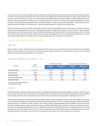trend in total CPI with year-over-year changes rising from below 1% in the early stages of 2021 to nearly 5% by November. Although cumulatively, the 2020-21 period has experienced total CPI increases that were only slightly above the Bank of Canada's 2% target at approximately 2.9% per year, nearly all of those price increases were concentrated in the April-November period of 2021. Globally, central bank policymakers have reacted to the increased inflation by shifting course to a tighter policy stance, with the U.S. Federal reserve apparently planning 3-4 interest rate hikes in 2022 along with potential balance sheet normalization efforts. This rapid change in policy expectations – while likely necessary to maintain control over inflation in the medium term – will have significant impacts on investors across all asset classes.

Apart from standard economic and market commentary remains the concern of geopolitical tensions and the impact on investors. While the outcome of any major geopolitical event remains unfortunately impossible to predict with certainty, the current tensions in Ukraine coupled with ongoing impacts of the now more than 2-year-old COVID-19 pandemic leaves financial markets in a somewhat precarious state. Combining this short-term uncertainty with the impact of fairly stretched fundamentals suggests that all in, the medium term expected return on a 60-40 stock-bond portfolio is likely to be modestly below its long run average level from a starting point of January 2022.

## FIXED INCOME PORTFOLIOS

#### **OBJECTIVES**

Vestcor provides a number of fixed income focused portfolios that allow clients to access a broad mix of both maturity term and credit quality exposures. These portfolios can be combined to represent standard industry benchmarks or used separately to provide more customized exposure to fit specific investment objectives or requirements.

|                                       | <b>AUM<sup>1</sup></b> |                       | <b>2021 Annual Return</b> | <b>Four-Year Annualized Return</b> |                       |  |
|---------------------------------------|------------------------|-----------------------|---------------------------|------------------------------------|-----------------------|--|
| <b>Portfolio</b>                      | $(S$ millions)         | <b>Portfolio</b><br>% | <b>Benchmark</b><br>%     | <b>Portfolio</b><br>%              | <b>Benchmark</b><br>% |  |
| <b>Short Term Assets</b>              | \$1,111                | 0.25                  | 0.17                      | 1.31                               | 1.01                  |  |
| <b>Nominal Bonds</b>                  | 3,610                  | (2.55)                | (2.97)                    | 3.81                               | 3.32                  |  |
| Corporate Bonds                       | 3,599                  | (1.51)                | (1.34)                    | 3.93                               | 4.04                  |  |
| International High Yield <sup>2</sup> | 206                    | 4.26                  | 2.39                      | n/a                                | n/a                   |  |
| <b>Real Return Bonds</b>              | 842                    | 1.70                  | 1.84                      | 5.77                               | 5.58                  |  |

#### PERFORMANCE SUMMARY AS AT DECEMBER 31, 2021

*1 Includes cross-fund ownership interests*

*2 Start date March 1, 2018*

#### **OVERVIEW**

Spurred by economic reopening, rising economic growth, and significant employment gains, investor optimism resulted in a rising rate trend for most of 2021. Canadian 10-year bond yields, which started the year at 0.7%, spiked to 1.6% by mid-March. Despite some mid-year volatility, these modestly higher rates were maintained to year-end, with the 10-year bond yield closing December at slightly greater than 1.4%.

North American central banks maintained their highly stimulative monetary policies throughout most of the year, with the Bank of Canada and U.S. Federal Reserve pivoting to a more hawkish tone only in the latter stages of 2021 in the face of rapidly rising inflation. Market expectations rapidly coalesced on a significant rate hike schedule in both markets, although ongoing geopolitical tensions globally will mean that central banks must navigate a dynamic market environment to ensure a so-called "soft landing" in the transition to a less accommodative policy stance. The yield curve itself began this tightening cycle in an atypically flat orientation, with limited term premium available to investors for moving beyond 2 years in maturity. Flatter interest rate term structures are generally reserved for the latter portions of policy tightening cycles and are potentially indicative of increased risk of a shorter rate rise experience than previous cycles, with increased risk of policy error.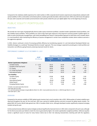Compared to the relatively volatile experience for credit markets in 2020, corporate bond investors experienced comparatively subdued credit spread volatility in 2021 as stimulative central bank policies created a generally favorable credit environment. With only mild moves throughout the year, both corporate and Canadian provincial bond credit spreads ended the year just slightly tighter than at the beginning of January.

## PUBLIC EQUITY PORTFOLIOS

#### **OBJECTIVES**

We provide two main types of geographically diverse public equity investment portfolios: standard market capitalization-based portfolios, and low volatility equity portfolios. These portfolios are used to help clients gain exposure to the long-term economic growth in global regions on both an active and passively managed basis, with clients benefitting from Vestcor's total portfolio approach to shift active risk to markets where it is most beneficial, while maintaining the efficiency of passive management in certain more competitive markets where evidence warrants a less aggressive approach.

In 2021, Vestcor continued a trend of increasing portfolio efficiency by transitioning separate U.S. and international Developed Market Low Volatility Strategies to a combined "Developed World ex Canada" approach. This new strategy is expected to provide gains in both portfolio and transaction cost efficiency going forward, producing improved results for clients.

#### PERFORMANCE SUMMARY AS AT DECEMBER 31, 2021

| <b>Portfolio</b>                       | AUM <sup>1</sup> |                          | <b>2021 Annual Return</b> | <b>Four-Year Annualized Return</b> |                       |  |
|----------------------------------------|------------------|--------------------------|---------------------------|------------------------------------|-----------------------|--|
|                                        | $(S$ millions)   | <b>Portfolio</b><br>$\%$ | <b>Benchmark</b><br>%     | <b>Portfolio</b><br>%              | <b>Benchmark</b><br>% |  |
| <b>Market Capitalization Weighted:</b> |                  |                          |                           |                                    |                       |  |
| Canadian Equity                        | \$1,175          | 25.22                    | 25.09                     | 10.43                              | 10.28                 |  |
| Canadian Small Cap Equity <sup>2</sup> | 175              | 30.68                    | 20.27                     | n/a                                | n/a                   |  |
| U.S. Equity                            | 676              | 26.93                    | 26.85                     | 17.74                              | 17.68                 |  |
| U.S. Small Cap Equity <sup>2</sup>     | 5                | 15.03                    | 13.52                     | n/a                                | n/a                   |  |
| International Equity                   | 860              | 11.14                    | 10.32                     | 6.18                               | 6.20                  |  |
| Low Volatility:                        |                  |                          |                           |                                    |                       |  |
| Canadian Equity                        | 985              | 23.96                    | 26.08                     | 8.88                               | 9.50                  |  |
| U.S. Equity <sup>3</sup>               |                  | 2.71                     | 0.80                      | 8.86                               | 10.44                 |  |
| International Equity <sup>3</sup>      | —                | (0.42)                   | (1.99)                    | 2.51                               | 2.93                  |  |
| Global Equity <sup>4</sup>             | 2,255            | 12.71                    | 12.86                     | n/a                                | n/a                   |  |
| <b>Emerging Markets Equity</b>         | 830              | 5.71                     | 4.65                      | 2.75                               | 4.06                  |  |

*1 Includes cross-fund ownership interests*

*2 Start date April 30, 2018*

*3 U.S. and International Strategies merged effective March 31, 2021. 4-year performance from Jan. 1, 2018 through March 31, 2021*

*4 Start date April 1, 2021*

#### **OVERVIEW**

Compared to the extreme volatility of 2020, global equity investors had a much smoother ride in 2021. While pockets of modest volatility were observed throughout the year, for the most part, 2021 was a period of volatility declines and price increases for global equity markets. The global MSCI All Country World Index gained over 18% in Canadian Dollar terms, although developed markets significantly outpaced emerging markets during the year.

As discussed previously, defensive equity strategies produced significantly improved returns in 2021 when compared to the prior year, although for the third consecutive year failed to match the returns generated by higher risk market capitalization weighted portfolios. Defensive equities remain a significant source of value for many Vestcor clients due to their risk reducing characteristics matching well with the regulatory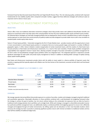framework faced by New Brunswick based Shared Risk and Target Benefit Pension Plans. This risk reducing quality, combined with improved fundamentals for low volatility equities when compared to broader markets, suggest that these defensive strategies will continue to plan an important role for clients in future years.

## ALTERNATIVE INVESTMENT PORTFOLIOS

#### **OBJECTIVES**

Vestcor offers many non-traditional alternative investment strategies which help provide clients with additional diversification benefits and exposure to investments which may help reduce their overall portfolio risk from the more traditional public equity and fixed income markets. Our Absolute Return Strategies are internally managed portfolios that are deployed for clients on both a standalone basis as well as through an overlay approach on total assets that consist primarily of publicly traded securities designed to provide stable returns with a low correlation to standard public market equity index returns.

Vestcor's Private Equity portfolio – historically managed by the firm's Private Markets team - provides investors with the opportunity to invest in more concentrated or control-based equity positions in companies that are at various growth stages and located in a number of different geographic regions. In 2021, Vestcor initiated a modest reorganization of certain investment teams, with the creation of a Real Assets team focused primarily on Real Estate and Infrastructure investments. As a result of this team transition, Private Equity portfolio management responsibilities have migrated to Vestcor's Equity Team, allowing complete oversight of top down and bottom-up portfolio management for the firm's entire non-Quantitatively managed equity portfolios within one integrated team. This integrated approach is expected to provide significant advantages for both public and private equity management at Vestcor in addition to allowing better coverage of rapidly evolving equity capital markets globally.

Real Estate and Infrastructure investments provide clients with the ability to invest capital in a diverse portfolio of long-term assets that provide an ongoing yield that typically adjusts with inflation over the time horizon of the investment, accessed via both direct and fund-based approaches.

|                            | AUM <sup>1</sup> |                          | <b>2021 Annual Return</b> | <b>Four-Year Annualized Return</b> |                       |
|----------------------------|------------------|--------------------------|---------------------------|------------------------------------|-----------------------|
| <b>Portfolio</b>           | $($$ millions)   | <b>Portfolio</b><br>$\%$ | <b>Benchmark</b><br>$\%$  | <b>Portfolio</b><br>%              | <b>Benchmark</b><br>% |
| Absolute Return Strategies | \$1,647          | 6.69                     | 0.17                      | 5.47                               | 1.01                  |
| Private Equity             | 1,306            | 34.39                    | 21.10                     | 21.27                              | 12.06                 |
| <b>Real Estate</b>         | 1,341            | 19.76                    | 12.34                     | 10.32                              | 7.61                  |
| Infrastructure             | 1,251            | 10.06                    | 5.33                      | 8.88                               | 5.73                  |

#### PERFORMANCE SUMMARY AS AT DECEMBER 31, 2021

*1 Includes cross-fund ownership interests*

#### **OVERVIEW**

We manage separate internal portfolios that provide exposure to a variety of securities, markets and strategies managed using both traditional and quantitative approaches. Meaningful allocations to these portfolios combined with a well-developed risk budgeting framework allow the strategy to achieve the goal of positive, low risk returns without taking on the unintended risk exposures that can often be found in traditional multi-strategy absolute return portfolios such as hedge funds. While each strategy is managed in a diversified and prudent manner by a particular portfolio management team, we additionally employ a combined portfolio risk budgeting approach to ensure risk is efficiently managed and budgeted through all market environments. By shifting capital and risk allocations to their most favorable locations where necessary the strategy has been successful in producing significant positive returns with minimal correlation to traditional markets and less than half the volatility of traditional hedge funds.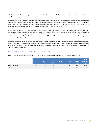In 2021, the Absolute Return Strategy generated returns of 6.7%, with positive contributions from both the fundamental and event driven and quantitatively managed sub-portfolios.

Vestcor's private equity portfolio is diversified across geography, sector and currency, and investments are made through a combination of commitments to external funds, co-investments alongside fund managers and direct internally managed investments. In 2021, the portfolio gained nearly 35% and significantly outpaced its benchmark for the year. Over the longer-term four-year period, private equity has returned in excess of 21%, outperforming the portfolio's Public Equity benchmark by more than 9% per year.

The Real Estate portfolio has two components: North American Real Estate Investment Trust (REIT) securities, and private real estate in the form of limited partnership interests, direct co-investments and direct holdings. With the creation of a more focused Real Assets team in 2021, direct Real Estate investments are expected to play a larger role in Vestcor client investment strategy on a go forward basis. In 2021, the combined portfolio earned a return of nearly 20% vs. a benchmark return of 12.3%. In addition, the longer-term 4-year return remains strong and well in excess of benchmark at 10.3% per year.

Vestcor's Infrastructure portfolio has two components: first, private infrastructure in the form of both fund commitments into limited partnerships as well as co-investments (diversified by geography, currency and by asset type) and second, an internal public infrastructure portfolio that is designed to provide similar long-term return and risk characteristics as private. In 2021, the combined strategy earned 10%, compared to a benchmark return of 5.3%.

#### TOTAL FUND PERFORMANCE SUMMARY AS AT DECEMBER 31, 2021

Below is a summary of the investment performance returns on all Vestcor management assets since its inception in April 1996.

|                            | 1Yr<br>$\%$ | 2 Yrs<br>$\%$ | 3 Yrs<br>% | 4 Yrs<br>$\%$ | 5 Yrs<br>% | 10 Yrs<br>$\%$ | <b>Since</b><br><b>Inception</b><br>$\%$ |
|----------------------------|-------------|---------------|------------|---------------|------------|----------------|------------------------------------------|
| <b>Vestcor Total Funds</b> | 9.46        | 8.20          | 9.38       | 7.50          | 7.61       | 8.58           | 7.36                                     |
| <b>Benchmark</b>           | 7.23        | 7.12          | 8.45       | 6.52          | 6.62       | 7.65           | 6.98                                     |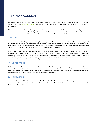# **RISK MANAGEMENT**

Vestcor faces a number of risks in fulfilling our various client mandates. A summary of our recently updated Enterprise Risk Management Framework, available at **[vestcor.org/corporate](https://vestcor.org/en/about-us/corporate-overview/)**, provides guidance and structure for ensuring that the organization can assess and adapt to emerging risks.

Risk management is a key element in helping provide stability to both pension plan contributions and benefits and making sure that our investment management activities do not bring undue risk to our clients' assets. All decisions are made in a risk context that not only focuses on the expected returns of our activities but also on the potential gains or losses that could be realized by those activities.

#### BOARD OVERSIGHT

Although management has the primary responsibility for managing risk, under its terms of reference, the Board of Directors is responsible for understanding the risks and the systems that management has put in place to mitigate and manage those risks. The Board is assisted in this responsibility through the efforts of its Committees to which certain risk oversight has been delegated. The Board maintains specific responsibility for the oversight of fiduciary, business strategy and investment risk, however.

Within the Board structure, the Human Resources & Compensation Committee focuses on risks relating to our employees and work environment. These include the leadership of the President and CEO, the ability to attract and retain qualified and motivated staff, leadership development and succession plans, and our Human Resource policies and practices. The Governance Committee focuses on the leadership and effectiveness of the Board and the reputation and public image of Vestcor. The Audit Committee focuses on oversight of financial risks including risks relating to the systems of internal control and financial reporting as well as cybersecurity and fraud risk.

#### INTERNAL AUDIT FUNCTION

The Audit Committee of the Board uses an independent internal audit function, consisting of internal employees and external independent audit consultants, to assist the Committee in ensuring that the internal controls and information systems used by Vestcor are appropriate and effective. The internal audit function reports directly to the Audit Committee. Internal audit pursues a rotating, risk-focused examination of an audit universe that covers the expanse of Vestcor's corporate policies and processes.

#### MANAGEMENT ACTIVITIES

Vestcor has an independent Risk Team overseen by the Risk Manager. The Risk Manager is responsible for development, communication and administration of Vestcor's Enterprise Risk Management Framework, leads the Enterprise Risk Management Council and reports directly to the Chair of the Audit Committee.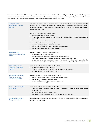Vestcor uses various internal Risk Management Committees to monitor and address issues arising from the Enterprise Risk Management Framework. These committees have cross-functional membership, including management and non-management positions as well as some overlap among the committees, providing a rich opportunity for sharing perspectives and insights:

| <b>Enterprise Risk</b><br><b>Management Council</b><br>(ERMC)                       | In accordance with its Terms of Reference, the ERMC is responsible for reviewing the status of the<br>Enterprise Risk Management Framework on a quarterly basis in advance of presenting the quarterly<br>risk matrix report and key risk indicators to the Audit Committee and advising the President and CEO<br>of areas of emerging risk.                                                                                                                                                                                                        |
|-------------------------------------------------------------------------------------|-----------------------------------------------------------------------------------------------------------------------------------------------------------------------------------------------------------------------------------------------------------------------------------------------------------------------------------------------------------------------------------------------------------------------------------------------------------------------------------------------------------------------------------------------------|
|                                                                                     | In fulfilling this mandate, the ERMC reviews:<br>a quarterly key risk indicators report;<br>$\bullet$<br>weekly Capital at Risk and Policy Asset Mix Capital at Risk analyses, including identification of<br>$\bullet$<br>risk proxies;<br>a quarterly client liquidity analysis;<br>$\bullet$<br>monthly counterparty exposure reports;<br>$\bullet$<br>quarterly securities lending compliance reports;<br>$\bullet$<br>results from management's annual fraud risk assessment; and<br>$\bullet$<br>recommendations from internal audit reviews. |
| <b>Investment Risk</b><br><b>Management Committee</b><br>(IRMC)                     | In accordance with its Terms of Reference, the IRMC:<br>monitors investment risk measures:<br>$\bullet$<br>reviews the results of asset mix stress testing and back-testing;<br>$\bullet$<br>considers risks associated with new investment strategies and products; and<br>$\bullet$<br>proposes procedures to measure and monitor investment risk, subject to the approval of the<br>$\bullet$<br>Chief Investment Officer and within the parameters established by the Board and our clients.                                                    |
| <b>Trade Management</b><br><b>Oversight Committee</b><br>(TMOC)                     | In accordance with its Terms of Reference, the TMOC:<br>monitors trading policies and practices;<br>$\bullet$<br>approves broker selection to ensure best trade execution possible; and<br>$\bullet$<br>manages exposure to broker counterparty risk.<br>$\bullet$                                                                                                                                                                                                                                                                                  |
| <b>Information Technology</b><br><b>Risk Management</b><br><b>Committee (ITRMC)</b> | In accordance with its Terms of Reference, the ITRMC:<br>assists in the development of IT strategy and future direction;<br>$\bullet$<br>approves new application risk assessments;<br>$\bullet$<br>monitors adherence to IT policies and processes; and<br>$\bullet$<br>oversees cybersecurity risks.<br>$\bullet$                                                                                                                                                                                                                                 |
| <b>Business Continuity Plan</b><br><b>Team (BCP)</b>                                | In accordance with its Terms of Reference, the BCP:<br>develops and implements the Business Continuity Plan including disaster recovery and pandemic<br>$\bullet$<br>preparedness;<br>discusses possible disaster scenarios; and<br>$\bullet$<br>uses passive and active scenario testing to practice response protocols.<br>$\bullet$                                                                                                                                                                                                              |
| <b>Occupational Health &amp;</b><br><b>Safety Committee</b>                         | In accordance with its Terms of Reference, the Occupational Health & Safety Committee considers<br>physical environment risks.                                                                                                                                                                                                                                                                                                                                                                                                                      |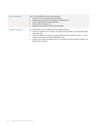| <b>Privacy Committee</b>   | Under its Terms of Reference, the Privacy Committee:<br>oversees all client / plan member privacy activities;<br>$\bullet$<br>develops policies, procedures and safeguards regarding privacy;<br>$\bullet$<br>ensures ongoing staff training and awareness;<br>$\bullet$<br>monitors policy compliance; and<br>$\bullet$<br>investigates and responds to incidents and complaints.<br>$\bullet$                                                                    |
|----------------------------|--------------------------------------------------------------------------------------------------------------------------------------------------------------------------------------------------------------------------------------------------------------------------------------------------------------------------------------------------------------------------------------------------------------------------------------------------------------------|
| <b>Valuation Committee</b> | In accordance with its Terms of Reference, the Valuation Committee:<br>reviews the valuations for all private local opportunity investments and spread-based fixed<br>٠<br>income securities;<br>reviews the valuations for other non-publicly traded securities classified as Level 2 or Level 3<br>٠<br>under International Financial Reporting Standards; and<br>maintains the valuation procedures manual in accordance with sound business practices and<br>٠ |

effective internal controls.

26 | VESTCOR ANNUAL REPORT 2021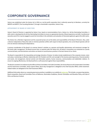# **CORPORATE GOVERNANCE**

Vestcor was established under the *Vestcor Act* in 2016 as a not-for-profit corporation that is indirectly owned by its Members, currently the NBPSPP and NBTPP ("the Founding Members") through a shareholder corporation, Vestcor Corp.

#### APPOINTMENT OF BOARD OF DIRECTORS

Vestcor's Board of Directors is appointed by Vestcor Corp. based on recommendations from a Vestcor Inc. Ad-Hoc Nominating Committee. A skills matrix is developed by the Ad Hoc Nominating Committee to ensure an appropriate diversity of Board experience and skills. A professional executive search firm may be engaged to assist the Committee in the solicitation and evaluation of interested applicants against this skills matrix.

The *Vestcor Act*, a Members' Agreement and the corporate by-laws set out the duties and responsibilities of the Board of Directors. Also, under a Director Independence Policy that seeks to minimize potential conflicts with respect to Board operations, the current Board operates with all of its ten directors declaring full independence.

A primary consideration of the Board is to oversee Vestcor's activities as a pension and benefits administrator and investment manager for the funds under management. The Board ensures that, as required under the *Vestcor Act*, all Vestcor's transactions are conducted on a purely commercial basis, and that decisions and actions are based on sound business practices in the best interest of our clients.

The Board is responsible for the stewardship and strategic direction of Vestcor. Its duties include establishment of the corporate mission, vision and values, maintaining an effective relationship with the President and CEO, and oversight of the business planning process, financial position and results, risk management, internal controls and information systems, human resources, communications and stakeholder relations. To ensure its ongoing effectiveness, the Board performs a self-assessment against these responsibilities.

The Board is assisted in its endeavors by the efforts of three Committees: the Audit Committee, the Human Resources & Compensation Committee and the Governance Committee, whose reports follow. Day-to-day management is delegated to the Chief Executive Officer, while investmentrelated matters are delegated to the Chief Investment Officer.

Additional information about our corporate governance practices is available on our website at **[vestcor.org](https://vestcor.org/)**. This includes: our governing statutes, Board composition, Board and Committee Terms of Reference, Nomination Guidelines, Director Orientation and Education Policy, and Code of Ethics and Business Conduct.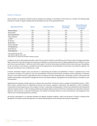#### BOARD ATTENDANCE

Board members are expected to attend the Board meetings and meetings of committees of which they are a member. The following table provides the number of regular meetings held and attendance by each of the appointed Directors.

| <b>Board</b> | <b>Audit Committee</b> | <b>Governance</b><br><b>Committee</b> | <b>Human Resources</b><br>& Compensation<br><b>Committee</b> |
|--------------|------------------------|---------------------------------------|--------------------------------------------------------------|
| 9/9          | 5/5                    | 4/4                                   | 5/5                                                          |
| 9/9          | n/a                    | n/a                                   | 5/5                                                          |
| 3/3          | 3/3                    | 2/2                                   | n/a                                                          |
| 9/9          | n/a                    | 4/4                                   | 5/5                                                          |
| 6/6          | n/a                    | 2/2                                   | n/a                                                          |
| 6/6          | n/a                    | 1 <sup>3</sup>                        | 2/2                                                          |
| 9/9          | 5/5                    | 4/4                                   | 5/5                                                          |
| 9/9          | 5/5                    | n/a                                   | 5/5                                                          |
| 9/9          | 2/2                    | n/a                                   | 3/3                                                          |
| 9/9          | 5/5                    | 4/4                                   | n/a                                                          |
| 9/9          | 5/5                    | 4/4                                   | n/a                                                          |
|              |                        |                                       |                                                              |

*1 Term expired June 30, 2021* 

*2 New Director effective July 1, 2021*

*3 New Directors can attend all Committee meetings as guests*

In addition, the Ad hoc Nominating Committee, which had resumed its activities in late 2020 once the Province's State of Emergency had been lifted, continued its work with the help of an executive recruiting firm to assist with the search for highly qualified directors to fill both a current and a future vacancy (October 1, 2020 and June 30, 2021 expiry). The Ad hoc Nominating Committee met three times and as per the guidelines for the nomination of new directors, provided the formal final appointment recommendations to the Vestcor Corp. Board for approval. The three-year new Directors' term is effective July 1, 2021.

A Director Orientation Program assists new directors in understanding the mandate and stakeholders of Vestcor. A significant focus of the new Director orientation is to explain the roles and responsibilities of the Board and the Board committees and the expectations of individual Directors. It also outlines Vestcor's organizational structure, introduces the senior leadership team, and provides a primer on the pension and benefits administration and investment management services and related industries. Management has provided Director orientation to each of the directors.

Ongoing Director education includes exposure to relevant news and articles of interest as well as a program of educational sessions. In 2021, these sessions included director & organizational diversity and inclusion; regulatory requirements and application in other jurisdictions; compensation trends and governance; and an update on Vestcor's responsible investing program. Directors also attended the client educational webinars hosted by Vestcor in 2021 including portfolio benchmarking, Global Investment Performance Standards and responsible investment approach. Vestcor also has a corporate membership in the Institute of Corporate Directors to ensure that directors and management have ready access to evolving best governance practices.

All Directors participated in an externally facilitated risk appetite workshop enabling a review and discussion of Vestcor's Enterprise Risk Management Framework and the development of a shared understanding across the principal risks facing the organization.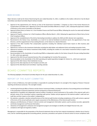#### BOARD DECISIONS

Major decisions made by the Vestcor Board during the year ended December 31, 2021, in addition to the matters referred to it by the Board Committees (see *Board Committee Reports* below) included:

- Approval of the appointments of D. Murray as Chair of the Governance Committee, T. Chapman as Chair of the Human Resources & Compensation Committee and C. Rignanesi as Chair of the Audit Committee effective as of April 1, 2021. Subsequently approved a rotation of Directors to the various Committees of the Board;
- Approval of Brent Henry as Vestcor Inc.'s Vice President Finance and Chief Financial Officer, following the result of an externally facilitated recruitment search;
- Approval of Ying Wu as Vestcor Inc.'s Chief Compliance Officer effective March 1, 2021, following the appointment of Brent Henry, former Chief Compliance Officer;
- Approval of the reestablishment of the Ad hoc Nominating Committee to address the 2020 and 2021 director term expirations.
- Recommend to the Vestcor Corp. shareholder, as a result of an external facilitated recruitment search, the appointment of two new Directors, and the reappointment of two existing Directors, to the Vestcor Inc. Board of Directors.
- Approval of the 2021 Incentive Plan compensation payments including the individual award factor based on 2021 business plan accomplishments;
- Approval of a revision to the Investment Authorities including the daily blotter and settlement limits and trading transaction limits;
- Approval of revisions to the Vestcor Investment Entity Profiles, including the creation of a new Vestcor Investment Entity to support new investment strategies;
- Recommendation to the shareholder of reconfirming KPMG as independent auditor for the Vestcor Group for the year ending December 31, 2021, which was approved;
- Approval of the 2022 Annual Corporate Business Plan and weightings for Incentive Plan purposes;
- Recommendation to the shareholder of the 2022 operating and capital expenditure budgets for Vestcor Inc., which were approved;
- Approval of the 2021 Vestcor Client Satisfaction Survey;
- Approval of the 2022 objectives for the President and CEO; and
- Approval of the 2022 Board and Committees' reporting calendar.

## BOARD COMMITTEE REPORTS

The following highlights of the Board Committee Reports for the year ended December 31, 2021.

## REPORT OF THE AUDIT COMMITTEE

Under its Terms of Reference, the Audit Committee is responsible for assisting the Board in its oversight of the integrity of Vestcor's financial reporting and disclosure processes. This oversight includes:

- monitoring the financial affairs of Vestcor and the Vestcor Investment Entities, including the selection of accounting policies to be followed in the preparation of financial statements and the transparency of financial disclosures;
- appointment of qualified and independent external auditors including an annual assessment of the quality of the external audit and a periodic review of the Committee's policies respecting audit partner rotation and pre-approval of the external auditor's audit and nonaudit fees and their impact on the auditor's independence;
- the selection, evaluation, retention and performance of the internal audit function including completeness of the audit universe, approval of the terms of the annual audit plan and a regular assessment of the effectiveness of the internal audit function;
- adequacy and effectiveness of Vestcor's internal controls and management information systems used to produce accurate, appropriate and timely management and financial information;
- robustness of management's enterprise risk management program and strategies to identify and mitigate financial risks; and
- compliance with legal and regulatory matters.

Management is responsible for the preparation of the financial statements that are free from material misstatement, whether due to fraud or error, and for maintaining appropriate accounting policies, processes, procedures and systems of internal control to ensure compliance with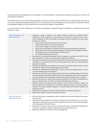accounting standards and applicable laws and regulations. The external auditor is responsible for planning and carrying out an audit of the annual financial statements.

At the beginning of each year the Committee establishes its objectives under these Terms of Reference for the upcoming year and reports on its success at meeting those objectives annually as part of an assessment of its own effectiveness. At each meeting, the Committee evaluates its meeting agenda against its Terms of Reference to ensure that it has fulfilled its responsibilities.

In accordance with its Terms of Reference, the Committee accomplished, among other things, the following in or relating to the year ended December 31, 2021:

| <b>Financial Statements and</b><br><b>Other Statements</b> | Following a review of changes to the Global Investment Performance Standards (GIPS <sup>®</sup> )<br>$\bullet$<br>introduced in 2020, reviewed and recommended to the Board for approval certain client's<br>Total Fund Reports for GIPS® asset owners in accordance with the standards for the year ended<br>December 31, 2021 for:<br>New Brunswick Public Service Pension Plan Total Fund;<br>o<br>New Brunswick Teachers' Pension Plan Total Fund;<br>о<br>Provincial Court Judges' Pension Plan Total Fund;<br>о<br>Pension Plan for Management Employees of New Brunswick School Districts Total Fund;<br>o<br>Shared Risk Plan for Certain Bargaining Employees of New Brunswick Hospitals Total Fund;<br>o<br>Shared Risk Plan for the City of Fredericton Total Fund; and<br>о<br>Low Volatility Global Equity Total Fund.<br>o<br>Reviewed the Environmental Reclamation Total Fund Report in accordance with GIPS® for the<br>$\bullet$<br>year ended March 31, 2021 and recommended its approval by the Board;<br>Reviewed the Shared Risk Plan for Academic Employees of the University of New Brunswick Total<br>$\bullet$<br>Fund Report in accordance with GIPS® for the year ended June 30, 2021 and recommended its<br>approval by the Board;<br>Reviewed the audited financial statements for the Vestcor Investment Entities for the year ended<br>$\bullet$<br>December 31, 2021 and recommended approval by the Board;<br>Reviewed the audited financial statements for Vestcor for the year ended December 31, 2021<br>$\bullet$<br>and recommended approval by the Board;<br>Reviewed the draft Vestcor Annual Report material for the year ended December 31, 2021 and<br>$\bullet$<br>recommended approval by Board subject to the review and approval by each of the Governance<br>and Human Resources & Compensation Committees of material relating to those committees;<br>Reviewed the draft press release announcing the publication of the Vestcor Annual Report for<br>$\bullet$<br>the year ended December 31, 2021 and recommended approval by the Board;<br>Reviewed quarterly unaudited financial statements for the Vestcor Investment Entities and<br>$\bullet$<br>Vestcor together with management's certifications regarding changes in accounting policies,<br>significant accounting estimates, adequacy of internal controls over financial reporting, and<br>subsequent events;<br>Monitored the completion of corporate and client financial reporting activities; and<br>$\bullet$<br>Approved the Valuation Policies for investment securities.<br>$\bullet$ |
|------------------------------------------------------------|---------------------------------------------------------------------------------------------------------------------------------------------------------------------------------------------------------------------------------------------------------------------------------------------------------------------------------------------------------------------------------------------------------------------------------------------------------------------------------------------------------------------------------------------------------------------------------------------------------------------------------------------------------------------------------------------------------------------------------------------------------------------------------------------------------------------------------------------------------------------------------------------------------------------------------------------------------------------------------------------------------------------------------------------------------------------------------------------------------------------------------------------------------------------------------------------------------------------------------------------------------------------------------------------------------------------------------------------------------------------------------------------------------------------------------------------------------------------------------------------------------------------------------------------------------------------------------------------------------------------------------------------------------------------------------------------------------------------------------------------------------------------------------------------------------------------------------------------------------------------------------------------------------------------------------------------------------------------------------------------------------------------------------------------------------------------------------------------------------------------------------------------------------------------------------------------------------------------------------------------------------------------------------------------------------------------------------------------------------------------------------------------------------------------------------------------------------------------------------------------------------------------------------------------------------------------------------------------------------------|
| <b>Internal Control and</b><br><b>Information Systems</b>  | Monitored the status of management's efforts to address internal control findings from previous<br>$\bullet$<br>external audits;<br>Reviewed and recommended to the Board for approval of the development of a new Service<br>$\bullet$<br>Organization Controls (SOC 1) report. Received quarterly status report on the continuing progress<br>of the development of the SOC1 report;<br>Received and reviewed a quarterly report related to the Vestcor Enterprise Risk Management<br>$\bullet$<br>Framework, including the Enterprise Risk Matrix and Key Risk Indicators; and<br>Received an update to the Vestcor Five-Year IT Strategic Plan.<br>$\bullet$                                                                                                                                                                                                                                                                                                                                                                                                                                                                                                                                                                                                                                                                                                                                                                                                                                                                                                                                                                                                                                                                                                                                                                                                                                                                                                                                                                                                                                                                                                                                                                                                                                                                                                                                                                                                                                                                                                                                              |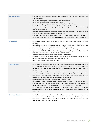| <b>Risk Management</b>      | Completed the annual review of the Fraud Risk Management Policy and recommended to the<br>$\bullet$<br>Board for approval;<br>Reviewed findings from management's 2021 fraud risk assessment;<br>$\bullet$<br>Reviewed an annual listing of Vestcor's major suppliers;<br>$\bullet$<br>Reviewed and approved updates to the Securities Regulation Policy Manual;<br>$\bullet$<br>Received and reviewed a revised version of the Vestcor Enterprise Risk Management Framework,<br>$\bullet$<br>incorporating the results of the externally facilitated risk appetite workshop and recommended<br>its approval to the Board;<br>Reviewed and approved management's recommendations regarding the Corporate Insurance<br>$\bullet$<br>Program and recommended renewal to the shareholder;<br>Completed the annual review of the Risk Manager's mandate, role and responsibilities; and<br>$\bullet$<br>Reviewed and approved the Chief Compliance Officer's Annual Securities Compliance Report<br>٠                                                                                                                                                                                                                                                                                                                                 |
|-----------------------------|-----------------------------------------------------------------------------------------------------------------------------------------------------------------------------------------------------------------------------------------------------------------------------------------------------------------------------------------------------------------------------------------------------------------------------------------------------------------------------------------------------------------------------------------------------------------------------------------------------------------------------------------------------------------------------------------------------------------------------------------------------------------------------------------------------------------------------------------------------------------------------------------------------------------------------------------------------------------------------------------------------------------------------------------------------------------------------------------------------------------------------------------------------------------------------------------------------------------------------------------------------------------------------------------------------------------------------------|
| <b>Internal Audit</b>       | Received and reviewed the results of the Internal Audit function assessment and the associated<br>$\bullet$<br>action plan;<br>Received quarterly Internal Audit Reports outlining work conducted by the Internal Audit<br>$\bullet$<br>function including recommendations and management's responses;<br>Reviewed and approved revisions to the Internal Auditors' Terms of Reference;<br>$\bullet$<br>Approved the 2022 Internal Audit Plan including projects, budget, updated audit universe and<br>$\bullet$<br>professional development plan for the Manager, Internal Audit;<br>Approved an external review of the Vestcor Internal Audit program;<br>$\bullet$<br>Reviewed a Follow-Up Report from the Internal Auditor reporting on management's progress in<br>responding to previous internal audit recommendations; and<br>Met in camera quarterly with the Internal Auditor.<br>$\bullet$                                                                                                                                                                                                                                                                                                                                                                                                                            |
| <b>External Auditor</b>     | Reviewed and recommended for approval by the Board the External Auditor's engagement, audit<br>$\bullet$<br>plan, timing, staffing and fees for the Vestcor financial statements for the year ended December<br>31, 2021, and the Vestcor Investment Entities' financial statements for the year ended December<br>31, 2021;<br>Pre-approved all non-audit, tax and other services to be performed by the External Auditor in<br>$\bullet$<br>accordance with the Audit Committee's Pre-Approval Policy for Audit and Non-Audit Services;<br>Reviewed the External Auditor's Audit Findings Report for the year ended December 31, 2021<br>$\bullet$<br>and obtained confirmation of the External Auditor's independence;<br>Opportunity to meet in camera quarterly with the External Auditor;<br>$\bullet$<br>Received management's feedback concerning the effectiveness and quality of the External Audit;<br>٠<br>Completed an External Auditor Assessment resulting in a recommendation to the shareholder<br>$\bullet$<br>for the re-appointment of the External Auditor for the December 31, 2021 audit; and<br>Reviewed and reconfirmed the Hiring Policy respecting Employees and Partners of the External<br>Auditor as originally approved to ensure appropriate independence of the External Audit is<br>maintained. |
| <b>Committee Objectives</b> | Received the results of an evaluation conducted by each director after each Audit Committee<br>$\bullet$<br>meeting to assist in identification of improvements to meeting content and efficiency; and<br>Reviewed the Audit Committee's accomplishments for the year ending December 31, 2021 and<br>٠<br>established the 2022 Committee objectives.                                                                                                                                                                                                                                                                                                                                                                                                                                                                                                                                                                                                                                                                                                                                                                                                                                                                                                                                                                             |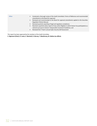| <b>Other</b><br>$\bullet$<br>$\bullet$<br>$\bullet$<br>$\bullet$<br>$\bullet$ | Conducted a thorough review of the Audit Committee's Terms of Reference and recommended<br>amendments to the Board for approval;<br>Reviewed and recommended to the Board for approval amendments applied to the Securities<br><b>Regulation Policies Manual;</b><br>Received quarterly reporting of legal and regulatory compliance;<br>Received a quarterly status report of class action litigation in which Vestcor has participated as a<br>claimant pursuant to Vestcor's Responsible Investment Guidelines; and<br>Reviewed the IT Team's annual Cyber Security Self-Assessment |
|-------------------------------------------------------------------------------|----------------------------------------------------------------------------------------------------------------------------------------------------------------------------------------------------------------------------------------------------------------------------------------------------------------------------------------------------------------------------------------------------------------------------------------------------------------------------------------------------------------------------------------------------------------------------------------|
|-------------------------------------------------------------------------------|----------------------------------------------------------------------------------------------------------------------------------------------------------------------------------------------------------------------------------------------------------------------------------------------------------------------------------------------------------------------------------------------------------------------------------------------------------------------------------------------------------------------------------------------------------------------------------------|

This report has been approved by the members of the Audit Committee.

**C. Rignanesi (Chair), D. Losier, E. Marshall, D. Murray, T. Mawhinney, M. Walton (ex officio).**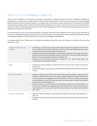## REPORT OF THE GOVERNANCE COMMITTEE

Under its Terms of Reference, the Governance Committee is responsible for assisting the Board of Directors in fulfilling its obligations by providing a focus on governance and public policy to enhance Vestcor's performance and ensure that its governance and communications policies and practices meet evolving best practices. To accomplish this, the Committee annually reviews the terms of reference for the Board and each Board committee, all Board policies and the Nomination Guidelines for new directors, oversees the Corporate Communications Policy, Director Orientation and Education programs and the Code of Ethics and Business Conduct. A Board and Director self-assessment process is facilitated by the Governance Committee.

At the beginning of each year the Committee establishes its objectives under these Terms of Reference for the upcoming year and reports on its success at meeting those objectives annually as part of an assessment of its own effectiveness. At each meeting, the Committee evaluates its meeting agenda against its Terms of Reference to ensure that it has fulfilled its responsibilities.

In accordance with its Terms of Reference, the Committee accomplished, among other things, the following in or relating to the year ending December 31, 2021:

| <b>Governance Documents and</b><br><b>Initiatives</b> | Conducted an in-depth review of and recommended to the Board for approval revisions to the<br>$\bullet$<br>Terms of Reference for the Board of Directors for Vestcor and for each of the Governance, Audit<br>and Human Resources & Compensation Committees; and<br>Completed the annual review of the Director Orientation and Education Policy, Code of Ethics and<br>$\bullet$<br>Business Conduct, Director Nomination Guidelines and Directors' Terms and Skills Competency<br>Matrix and recommended their approvals by the Board; and<br>Reviewed the draft Corporate Governance disclosure for the 2021 Annual Report and<br>$\bullet$<br>recommended its approval by the Board.                                                                                              |
|-------------------------------------------------------|---------------------------------------------------------------------------------------------------------------------------------------------------------------------------------------------------------------------------------------------------------------------------------------------------------------------------------------------------------------------------------------------------------------------------------------------------------------------------------------------------------------------------------------------------------------------------------------------------------------------------------------------------------------------------------------------------------------------------------------------------------------------------------------|
| <b>Ethics</b>                                         | Reviewed the annual compliance by staff and directors with the Code of Ethics and Business<br>$\bullet$<br>Conduct; and<br>Received each quarter a status report of compliance by staff with the Code of Ethics and Business<br>$\bullet$<br>Conduct.                                                                                                                                                                                                                                                                                                                                                                                                                                                                                                                                 |
| <b>Director Nominations</b>                           | Received a status report from the Ad Hoc Director Nominating Committee, reorganized in late<br>$\bullet$<br>2020 for the 2020 and 2021 director terms expiry. Updates included the relaunch of the director<br>recruitment process and engagement of the shareholder to fill both an existing and upcoming<br>vacancy, preliminary results of the external director recruitment search, selection and interview<br>process based on key skills gaps; and<br>Received a letter from the Ad Hoc Director Nominating Committee that recommended to our<br>$\bullet$<br>Vestcor Corp. shareholder the reappointment of two existing directors and the appointment of<br>two new directors, as a successful result of the external director recruitment search, effective<br>July 1, 2021. |
| <b>Directors' Compensation</b>                        | Approved a Report of Directors' Compensation and Expenses for the year ended December 31,<br>$\bullet$<br>2021; and<br>Approved a Report of the President and CEO's travel expense claims for the year ended December<br>$\bullet$<br>31, 2021.                                                                                                                                                                                                                                                                                                                                                                                                                                                                                                                                       |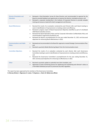| <b>Director Orientation and</b><br><b>Education</b> | Reviewed a Post-Orientation Survey for New Directors and recommended its approval by the<br>$\bullet$<br>Board to provide feedback and opportunity to improve the director orientation process; and<br>Renewed a corporate membership in the Institute of Corporate Directors to provide valuable<br>$\bullet$<br>training and resource material for both management and Directors.                                                                                                                                                                                                                                                                                    |
|-----------------------------------------------------|------------------------------------------------------------------------------------------------------------------------------------------------------------------------------------------------------------------------------------------------------------------------------------------------------------------------------------------------------------------------------------------------------------------------------------------------------------------------------------------------------------------------------------------------------------------------------------------------------------------------------------------------------------------------|
| <b>Board Effectiveness</b>                          | Received the results of an evaluation conducted by each Director after each Board meeting to<br>$\bullet$<br>assist in identification of improvements to meeting content and efficiency;<br>Reviewed a progress report of Board Improvement Objectives identified as part of a facilitated<br>$\bullet$<br>2020 Board evaluation process;<br>Reviewed the Board Operations Policy and the Corporate Information Confidentiality Policy and<br>$\bullet$<br>recommended its approval by the Board; and<br>Reviewed the Board's accomplishments for the year ended December 31, 2021 and discussed<br>$\bullet$<br>objectives for enhancing Board effectiveness in 2022. |
| <b>Communications and Public</b><br><b>Policy</b>   | Reviewed and recommended to the Board for approval a revised Strategic Communications Plan;<br>$\bullet$<br>and<br>Received a quarterly Media Monitoring Report from the Communications team<br>$\bullet$                                                                                                                                                                                                                                                                                                                                                                                                                                                              |
| <b>Committee Objectives</b>                         | Received the results of an evaluation conducted by each director after each Governance<br>$\bullet$<br>Committee meeting to assist in identification of improvements to meeting content and efficiency;<br>and<br>Reviewed the Governance Committee's accomplishments for the year ending December 31,<br>$\bullet$<br>2021 and discussed objectives for enhancing its effectiveness in 2022.                                                                                                                                                                                                                                                                          |
| <b>Other</b>                                        | Received a quarterly update on potential new client mandates; and<br>$\bullet$<br>Approved an active monitoring process for registering and maintaining each director's status as<br>$\bullet$<br>a Permitted Individual pursuant to provincial securities regulation.                                                                                                                                                                                                                                                                                                                                                                                                 |

This report has been approved by the members of the Governance Committee.

**D. Murray (Chair), C. Rignanesi, D. Losier, T. Chapman, L. Clark, M. Walton (ex officio)**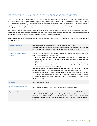### REPORT OF THE HUMAN RESOURCES & COMPENSATION COMMITTEE

Under its Terms of Reference, the Human Resources & Compensation Committee (HRCC) is responsible for assisting the Board of Directors to fulfill its obligations relating to the compensation of employees, leadership succession, and human resources policies and practices. In doing so, the HRCC conducts an annual performance appraisal for the President and CEO, oversees changes to the Compensation Philosophy, compensation, employee benefits and incentive plans, organizational structure, leadership development and succession, monitors management's compliance with employment-related regulatory and legislative matters and oversees risk management systems related to Vestcor's human resources.

At the beginning of each year, the Committee establishes its objectives under these Terms of Reference for the upcoming year and reports on its success at meeting those objectives annually as part of an assessment of its effectiveness. At each meeting, the Committee evaluates its meeting agenda against its Terms of Reference to ensure that it has fulfilled its responsibilities.

In accordance with its Terms of Reference, the Committee accomplished, among other things, the following in or relating to the year ended December 31, 2021:

| <b>Evaluation of the CEO</b>                         | Conducted the annual performance review for the President and CEO; and<br>$\bullet$<br>Reviewed and approved the performance of the President and CEO against the President and<br>$\bullet$<br>CEO Objectives and business plan targets for the year ended December 31, 2021.                                                                                                                                                                                                                                                                                                                                                                                                                                                                                                                                                                                                                                                                                                                                                                                                                                                               |
|------------------------------------------------------|----------------------------------------------------------------------------------------------------------------------------------------------------------------------------------------------------------------------------------------------------------------------------------------------------------------------------------------------------------------------------------------------------------------------------------------------------------------------------------------------------------------------------------------------------------------------------------------------------------------------------------------------------------------------------------------------------------------------------------------------------------------------------------------------------------------------------------------------------------------------------------------------------------------------------------------------------------------------------------------------------------------------------------------------------------------------------------------------------------------------------------------------|
| <b>Compensation and Employee</b><br><b>Benefits</b>  | Finalized a comprehensive total compensation review for all employee positions with the support<br>$\bullet$<br>of an independent external compensation advisor.<br>Reviewed the incentive structure observations and recommendations from the independent<br>$\Omega$<br>advisor and recommended the resulting proposed recommendations for approval to the<br>Board; and<br>Reviewed the results of the independent expert compensation advisors' investment<br>$\mathsf{o}\xspace$<br>benchmarks and target value-added study and recommended the resulting proposed<br>recommendations for approval to the Board.<br>Reviewed the individual business plan success weightings of the Annual Business Plan for the<br>$\bullet$<br>year ended December 31, 2021 and recommended their approval by the Board; and<br>Reviewed corporate results for the year ended December 31, 2021 versus the Annual Business<br>$\bullet$<br>Plan and recommended approval by the Board of the overall Corporate Scorecard incentive<br>compensation pool and the Individual Incentive performance pool awards for the year ended<br>December 31, 2021. |
| <b>Severance</b>                                     | N/A - No severances in 2021.<br>$\bullet$                                                                                                                                                                                                                                                                                                                                                                                                                                                                                                                                                                                                                                                                                                                                                                                                                                                                                                                                                                                                                                                                                                    |
| <b>Code of Business Conduct and</b><br><b>Ethics</b> | N/A - No concerns referred by the Governance Committee occurred in 2021.<br>$\bullet$                                                                                                                                                                                                                                                                                                                                                                                                                                                                                                                                                                                                                                                                                                                                                                                                                                                                                                                                                                                                                                                        |
| <b>Organizational Structure</b>                      | Ongoing discussion throughout the year on the human resource impact of the COVID-19 pandemic<br>$\bullet$<br>and Vestcor's COVID-19 Operating Plan on continuing efforts to attract, retain, motivate and train<br>personnel. Reviewed the results of a new office space pulse survey of employees, conducted<br>following the move to Vestcor's new office, to evaluate employees' level of safety in the new<br>facility.                                                                                                                                                                                                                                                                                                                                                                                                                                                                                                                                                                                                                                                                                                                  |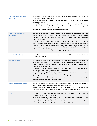| <b>Leadership Development and</b><br><b>Succession</b> | Reviewed the Succession Plans for the President and CEO and senior management positions and<br>$\bullet$<br>recommended approval by the Board;<br>Reviewed management's leadership development plans for identified senior leadership<br>$\bullet$<br>succession candidates;<br>Retained the services of a professional search firm to help conduct an executive search for a new<br>$\bullet$<br>Chief Financial Officer due to the planned retirement of the incumbent. Recommended approval<br>by the Board of the successful candidate; and<br>Received regular updates on management's recruiting efforts.<br>$\bullet$                                                                                                                                                                                                                                                                                                                                     |
|--------------------------------------------------------|------------------------------------------------------------------------------------------------------------------------------------------------------------------------------------------------------------------------------------------------------------------------------------------------------------------------------------------------------------------------------------------------------------------------------------------------------------------------------------------------------------------------------------------------------------------------------------------------------------------------------------------------------------------------------------------------------------------------------------------------------------------------------------------------------------------------------------------------------------------------------------------------------------------------------------------------------------------|
| <b>Human Resources Planning</b><br>and Policies        | Reviewed the 2021 Human Resources Strategic Plan, including short, medium and long-term<br>$\bullet$<br>objectives to build Vestcor's infrastructure to support prudent client growth while reducing<br>enterprise risk exposure and ensuring organizational sustainability, and recommended its<br>approval by the Board;<br>Received a proposed updated organizational structure in conjunction with the development<br>$\bullet$<br>of the 2022 budget. The proposed structure included long-term restructuring opportunities<br>within the investment and information technology teams to position Vestcor for future growth<br>opportunities in terms of both additional clients and potential additional service offerings, as<br>indicated in the 2019 - 2024 Corporate Strategic Plan; and<br>Reviewed and approved a Corporate Flextime / Remote Work Guidelines.<br>$\bullet$                                                                          |
| <b>Compliance Monitoring</b>                           | Received quarterly certification from management as to regulatory compliance with various<br>$\bullet$<br>legislative requirements.                                                                                                                                                                                                                                                                                                                                                                                                                                                                                                                                                                                                                                                                                                                                                                                                                              |
| <b>Risk Management</b>                                 | Following the results of the 2020 Biennial Workplace Environment Survey and the subsequent<br>$\bullet$<br>recommendations made by the internal employee Workplace Environment Focus Group to<br>enhance employee satisfaction, reviewed and monitored action plans taken by management to<br>address those recommendations;<br>Following the results of the 2020 Biennial Leadership Survey, reviewed a memorandum providing<br>$\bullet$<br>the President and CEO Leadership Survey results and analysis;<br>Monitored quarterly key performance indicators related to human resource matters including<br>$\bullet$<br>position vacancies, absenteeism, retention and training; and<br>Monitored the risk management areas for which the Committee had been delegated oversight<br>$\bullet$<br>responsibilities including the President and CEO's leadership effectiveness, performance integrity,<br>and ability to attract and retain qualified personnel. |
| <b>Annual Committee Objectives</b>                     | Updated the Committee's Terms of Reference to enhance clarity and ensure responsibilities<br>$\bullet$<br>remain appropriate and recommended approval by the Board; and<br>Established the Committee's objectives for the year ended December 31, 2021 in the form of a<br>٠<br>Committee dashboard and reviewed subsequent achievements throughout the year.                                                                                                                                                                                                                                                                                                                                                                                                                                                                                                                                                                                                    |
| <b>Other</b>                                           | Each quarter, conducted and reviewed a meeting evaluation to assess the efficiency and<br>$\bullet$<br>effectiveness of the Committee function;<br>Reviewed the draft Compensation Discussion and Analysis section of the Vestcor 2021 Annual<br>$\bullet$<br>Report and recommended its approval by the Board; and<br>As part of a Vestcor Board of Directors Committee Chairperson rotation process, Ms. Tanya<br>$\bullet$<br>Chapman became Chairperson of the Committee effective April 1, 2021.                                                                                                                                                                                                                                                                                                                                                                                                                                                            |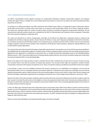### TOTAL COMPENSATION PROGRAM REVIEW

The HRCC's responsibilities include regularly reviewing our Compensation Philosophy, employee compensation program, and employee benefits plan against Vestcor's strategic focus and evolving industry best practices to ensure we can attract and retain the professional talent required by our business.

As reported in our 2020 Annual Report, the HRCC retained the help of Willis Towers Watson, an independent expert compensation advisor, during 2020 and early 2021 to provide advice with respect to an extensive Total Compensation Review for all Vestcor employee positions. This review was conducted within the context of Vestcor's Board of Directors reviewed and approved Compensation Philosophy. The last comprehensive externally assisted reviews were completed by the HRCC for Administration and Corporate Services employees in November 2017 and Investment employees in September 2015.

The review was directed by an Ad-hoc Compensation Committee of the Board and utilized peer comparator groups to represent the marketplace for all Vestcor employee positions. Vestcor Directors M. Walton, D. Losier, and C. Rignanesi participated on the Ad-Hoc Committee. For investment and pension administration positions, the comparator group consisted of pension funds of similar asset size and investment strategy complexity. Corporate services positions were compared to similar general industry positions, adjusted for regional differences, and to other Atlantic Canada organizations.

The results of this review determined that the target compensation opportunity for most positions was in line with the peer group identified. It was identified that the compensation targets for a limited number of senior employee positions was lower than the median peer group levels. Adjustments were approved to a combination of salary band and / or variable incentive plan participation levels for the identified positions effective January 1, 2021. Actual salary adjustments are being prudently implemented over time and any immediate changes were made within the previously approved 2021 annual operating budget.

Based on the advice of the external advisor, Vestcor's Incentive Plan has been combined into one plan (versus the prior Annual and Longterm Incentive Plans) in line with the evolution of industry best practices. This new plan further aligns the corporation's variable incentive compensation component with the goals and objectives of our clients, and specific employee quantitative and qualitative performance targets.

It also provides a clearer and more simplified framework that remains transparent to our stakeholders and employees, and one that the Board believes better serves our employee attraction and retention objectives. A detailed scenario analysis was undertaken to ensure that the expected compensation expense related outcomes of the new incentive program structure were similar to those under the prior program and that the total target compensation opportunity for all employees remains the same. These changes became effective as of January 1, 2021.

Based on the advice of the external advisor, employees who have active previously commenced rolling four-year periods in progress under the prior Long-term Incentive Plan will continue to be eligible to receive annual payments determined under the previously existing conditions of that plan up until the final calculation and concluding four-year period of 2020 to 2023. These remaining applicable payments will continue to be subject to Board of Director approval.

In 2021, the HRCC again retained the help of the independent expert compensation advisor Willis Towers Watson and their investment advisory practice, to assist in reviewing the various investment benchmarks and value-added targets that are used as part of the incentive compensation determination process. After an extensive review, the advisor confirmed that the existing investment benchmarks and value-added targets were generally in-line with peer investment firms and industry best practices. The HRCC and Board will utilize this feedback in setting performance targets for 2022 and future years.

Vestcor's pension plan participation and employee benefit program remained unchanged.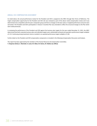### ANNUAL CEO COMPENSATION ASSESSMENT

As noted above, the annual performance review for the President and CEO is assigned to the HRCC through their Terms of Reference. The target compensation opportunity for the President and CEO role was reviewed as part of the above noted compensation review and it was determined to be competitive with the peer comparator group and that no changes to the base salary or targeted performance amounts were warranted. The President and CEO's participation in Vestcor's Incentive Plan was amended to reflect the structural changes to the Plan which were noted previously.

In reviewing the performance of the President and CEO against the business plan targets for the year ended December 31, 2021, the HRCC determined that both corporate business plan and individual targets were substantially achieved and awarded a performance target multiplier of 1.35. Continuing strong investment returns resulted in an awarded performance target multiplier of 2.00.

Further detail on the President and CEO compensation components is included in the following Compensation Discussion and Analysis.

This report has been approved by the members of the Human Resources & Compensation Committee. **T. Chapman (Chair), E. Marshall, D. Losier, M. Allain, M. Doiron, M. Walton (ex officio)**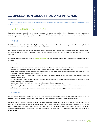# **COMPENSATION DISCUSSION AND ANALYSIS**

*The following Compensation Discussion and Analysis explains the processes followed by Vestcor that have been applied in the current year and are expected to be applied to Vestcor in future.*

# COMPENSATION GOVERNANCE

The Board of Directors is responsible for the oversight of Vestcor's compensation principles, policies and programs. The Board approves the compensation program and awards, including the compensation of the President and CEO, based on recommendations made by the Human Resources & Compensation Committee (HRCC).

### HRCC MANDATE

The HRCC assists the Board in fulfilling its obligations relating to the establishment of policies for compensation of employees, leadership succession planning, and setting of human resource policies and practices.

The Committee is composed of five Directors and the Chairperson who acts on the Committee in an ex officio capacity. The Committee meets a minimum of three times each year. External human resources consultants may be used from time to time to assist the Committee with fulfilling its mandate.

The HRCC's Terms of Reference are available at **[vestcor.org/governance](https://vestcor.org/en/about-us/governance/)**, under "Board Committees" and "The Human Resources & Compensation Committee".

Key responsibilities include:

- Participation in an annual performance appraisal process for the President and CEO, including establishment of measurable goals and objectives, and recommendations for compensation arrangements including performance incentive awards;
- Development of a Compensation Philosophy that articulates principles to follow in approaching compensation decisions that will align with Vestcor's business objectives, operations and risks;
- Oversight of adjustments to competitive compensation ranges, incentive compensation plans, employee benefit plans and operational travel and expense policies;
- Recommendation of changes to the organization's structure, appointment of officers, and amendments to job descriptions as well as any management severance arrangements;
- Consideration of leadership development initiatives and succession plans for key employees;
- Approval of a long-range Human Resources Strategic Plan that includes appropriate strategies and policies to attract and retain talented employees; and
- Review of the year-end incentive compensation pool for eligible employees and recommendation to the Board for approval.

### INDEPENDENT ADVICE

The HRCC retained the help of Willis Towers Watson, an independent expert compensation advisor, in 2020 and 2021 to provide advice with respect to a Total Compensation Review for all Vestcor positions within the context of Vestcor's Compensation Philosophy.

This review utilized comparator groups to represent the marketplace for employee positions. For investment and pension administration positions, the comparator group consisted of pension funds of similar asset size and/or investment strategy complexity. Corporate services positions, including the CEO and CFO, were compared to similar general industry positions, adjusted for regional differences, and to other Atlantic Canada organizations. The results and Board decisions resulting from this review were implemented in 2021, details of which can be found on page 37.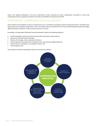Vestcor also regularly participates in and uses compensation surveys conducted by various compensation consultants to ensure that compensation trends are regularly monitored, and trends are identified and reported to the HRCC.

# CORPORATE COMPENSATION PHILOSOPHY

Vestcor believes that employees are key to its performance and is committed to providing a positive working environment, rewarding career opportunities and competitive compensation. Vestcor also believes that the achievement of its mission will be facilitated by having meaningful alignment between employees' interests and the interests of its clients.

Accordingly, a Compensation Philosophy has been developed to address the following objectives:

- Provide competitive, performance-based compensation based upon market practices;
- Attract and retain high-quality employees;
- Reinforce the strategy, culture and policies of Vestcor;
- Promote awareness and attainment of individual, team and corporate strategic objectives;
- Enhance Vestcor's reputation as an employer of choice; and
- Treat employees fairly.

The principles on which this philosophy is based are summarized as follows:

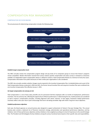# COMPENSATION RISK MANAGEMENT

### COMPENSATION DECISION-MAKING

The annual process for determining compensation includes the following steps:



#### *Establish target compensation levels*

The HRCC annually reviews the compensation program design and pay levels of its comparator groups to ensure that Vestcor's programs remain competitive. Market information received from various industry specific compensation and salary surveys is reviewed as it becomes available. An independent expert compensation advisor is utilized to conduct a Total Compensation Review at a minimum of every four years. Compensation information from public disclosures of other similar peer organizations is also considered.

The HRCC also annually considers whether changes may be required to the Incentive Compensation Plan. As detailed below and as part of the Total Compensation Review conducted in 2020 and 2021, the former Annual Incentive Plan and Long-term Incentive Plan were combined into one Incentive Compensation Plan effective January 1, 2021.

#### *Set target compensation mix and pay at-risk*

Total compensation is a mix of base salary, benefits and, for permanent full-time employees after six months of employment, performance incentives. The mix varies by role, reflecting the opportunity to influence performance. In determining the mix, market practices are considered as well as Vestcor's compensation principles, including alignment with clients' interests. In that regard, investment related performance incentives reflect a four-year return cycle to discourage short-term risk-taking and better align with clients' long-term return objectives.

#### *Establish performance objectives*

Each year, the Board approves an annual business plan designed to support achievement of Vestcor's five-year Strategic Plan. This annual business plan contains a balanced mix of financial, investment strategy, administration and operational performance objectives, and key initiatives. Each of these performance objectives and key initiatives is then weighted according to its level of importance to the overall Strategic Plan. The President and CEO delegates the key initiatives among the various functional teams based on their specific roles and responsibilities.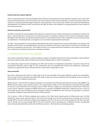### *Evaluate performance against objectives*

Vestcor's actual performance is then assessed against these performance and annual business plan objectives. Investment returns versus client Investment Policy Benchmarks, nominal investment returns versus long-term client investment objectives, and other financial key performance indicators are assessed quantitatively against objectives, while achievement of key business plan initiatives are assessed both quantitatively and qualitatively. The President and CEO recommends to the HRCC the factors to be considered in assessing achievement of each element of the annual business plan.

### *Determine performance-based awards*

The HRCC is responsible for recommending for Board approval an achievement factor related to business plan accomplishments. Based on this factor, a total incentive pool is calculated for the annual business plan and individual components of the Incentive Compensation Program. Management then determines the appropriate individual factor for each employee based on their contributions to the annual business plan accomplishments. The individual factors are assigned so as to not exceed the approved total incentive pool.

The HRCC is also responsible for recommending for Board approval the amount of performance incentive compensation to be awarded to the President and CEO and the overall weighted factors based on the evaluations noted above, using discretion as warranted. The President and CEO does not participate in this discussion. The President and CEO in turn reviews performance evaluations for each member of the Incentive Plan and allocates the individual awards based on individual contribution.

## COMPENSATION PROGRAM

The Incentive Compensation Program is outlined in Exhibit A on page 52. The program takes the form of salary and benefits as well as individual performance-based incentive awards for all permanent full-time employees after six months of employment.

The compensation program has been developed by the HRCC with the help of an independent compensation consultant to align with the Compensation Philosophy noted on page 40. Total compensation levels are periodically benchmarked using independent compensation consultants and against external peer institutional funds or other relevant compensation surveys.

#### *Salary and benefits*

Base salary is determined with respect to a target range of pay for each job position, after giving recognition to specific job responsibilities. Vestcor provides full-time employees with benefits that include vacation and sick leave entitlement, life and disability insurance, health and dental benefits, and an employee assistance plan.

Effective January 1, 2014, all full-time employees participate in and contribute to the New Brunswick Public Service Pension Plan (NBPSPP). The NBPSPP provides a pension upon retirement equal to 1.4% of pensionable earnings up to the Yearly Maximum Pensionable Earnings (YMPE) for each year or part thereof plus 2% of earnings in excess of YMPE. The Plan is subject to an early retirement reduction factor if retirement is prior to age 65. Indexing is contingent on NBPSPP performance as outlined in the NBPSPP Funding Policy. Employees who earn in excess of the earnings required to earn the Maximum Pension (Canada) as defined in the NBPSPP Plan Text in the year also participate in a retirement compensation arrangement sponsored by the Province of New Brunswick.

Prior to January 1, 2014, all full-time employees were members of the *Public Service Superannuation Act* (PSSA) pension plan. The PSSA provided for a pension upon retirement equal to 1.3% of the annual average of the best five consecutive years of earnings up to the annual average YMPE for the year of retirement and the two preceding years plus 2% of the excess of the annual average of the best five consecutive years of earnings over the annual average YMPE for the year of retirement and two preceding years, multiplied by the years of pensionable service. Base pre-indexed benefits earned under the PSSA up to January 1, 2014 have been provincially guaranteed.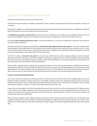# INCENTIVE COMPENSATION PLAN

*Formerly Annual Incentive Plan and Long-term Incentive Plan*

All full-time permanent employees are eligible to participate in Vestcor's Incentive Compensation Plan (ICP) once employed for a minimum of six months.

Each position is eligible for an individual achievement award and a corporate scorecard award, and certain positions are eligible for a component based on absolute client returns and relative investment performance.

The **individual and corporate scorecard award** components of the ICP is calculated as a percentage of salary, weighted to reflect the role and impact that each eligible employee has on achievement of annual business plan objectives as assessed by the Board of Directors.

An absolute **client investment performance award** is measured quantitatively on a four-year cumulative basis compared to client long-term total fund investment objectives.

Investment performance is measured quantitatively as a **total fund net value added investment return award** on a four-year cumulative basis, compared against a value-added target set by the Board. Net value-added investment returns represent the gross investment return in excess of the investment policy benchmark returns, after deducting all investment management costs. Quantitative awards are limited to a maximum of two times target (84 bps of value-added total fund returns after costs).

The ICP also includes an **investment team award** for asset class value added returns of actively managed portfolios to promote teamwork within these investment asset classes. Investment management employees are organized into one of five teams eligible for the team award by asset class: Fixed Income, Quantitative Investments, Equities, Traders and Private Markets. The remaining employees do not participate in the team award due to the overarching focus of their responsibilities.

Starting in 2021, a significant portion of the ICP award is deferred for payment in future years for certain positions, including all investment and risk management staff, CEO, CFO, CIO and CPBO. The deferred ICP is paid out over four years, with 50% being paid in year one and the remaining 50% being paid out in equal installments over the subsequent three years. To further align this award with client investment performance, deferred amounts accrue a return equal to the total actual overall annual investment return achieved during the deferral period.

### *Long-term incentive plan being discontinued*

Prior to 2021, Vestcor had a long-term incentive plan (LTIP) for investment and research staff, the CEO and CFO. Eligibility began only once the individual had been employed a minimum of four years. Once eligible, employee awards were calculated and paid using the prior four-year investment performance in excess of Board-approved investment policy benchmark returns and investment management costs. LTIP award calculations are limited to a maximum of 75 bps of value-added total fund returns after costs.

As part of the recommendations of the Total Compensation Review and as per the terms of the ICP, we discontinued the LTIP effective January 1, 2021. However active eligible employees who had previously commenced rolling four-year award determination periods will continue to receive the remaining annual payments calculated under the LTIP (periods covering 2018-2021, 2019-2022, and the final calculation and concluding four-year period of 2020-2023).

While the LTIP was designed to align employee interests with long-term client investment performance objectives, the new ICP design, with a significant deferral portion of the total award, is believed will strengthen the alignment of these interests and better serve Vestcor's talent attraction and retention objectives. Once fully transitioned, the change in design is not intended to significantly affect the total incentive awards paid.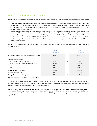# IMPACT OF PERFORMANCE RESULTS

The summary results of Vestcor's investment program, as measured by pre-selected long-term investment performance metrics, are as follows:

- The total fund **active nominal return** for investment mandates where we have full management discretion for the year ended December 31, 2021 was 9.46% and represents approximately \$1.9 billion in gross earnings from the overall investment program. The annualized active nominal return for the past four years ending December 31, 2021 was 7.50%, which represents approximately \$5.7 billion of cumulative gross investment earnings.
- Value added investment returns (in excess of benchmarks) for 2021 were very strong. Total fund **relative returns** were higher than the combined weighted average client Investment Policy benchmarks for the year ended December 31, 2021, adding 210.4 basis points of value after deducting all investment management costs. A basis point is equal to 1/100ths of a percent. This value added contributed net investment income of approximately \$425.7 million in 2021. Over the longer more important four-year period to December 31, 2021, the investment program has provided a positive net return of 86.7 basis points of value annually over client benchmarks or over \$651.9 million of net investment returns.

The following table shows total compensation awards and payments, excluding Directors' remuneration (see page 51), for the year ended December 31, 2021.

|                                                         | 2021<br>(\$ thousands) | 2020<br>(\$ thousands) |
|---------------------------------------------------------|------------------------|------------------------|
| Salaries and benefits, excluding performance incentives | \$<br>13,796.2         | \$<br>13,391.1         |
| ICP performance incentives                              |                        |                        |
| Net investment relative performance                     | \$<br>3,993.7          | \$<br>774.2            |
| Corporate scorecard and individual performance          | 1,887.8                | 1,700.5                |
| <b>Total ICP</b>                                        | 5,881.4                | 2,474.7                |
| LTIP <sup>1</sup>                                       | 2,688.1                | 1,951.8                |
| Total performance incentives                            | 8,569.6                | 4,426.5                |
| Deferred portion of ICP                                 | 2,638.6                |                        |
| Total performance incentives paid                       | 5,931.0                | \$<br>4,426.5          |

*1 LTIP being discontinued from 2021 to 2023 as discussed above*

For the year ended December 31, 2021, and after consideration of the continuing competitive talent retention environment, the Board approved a modest cost of living salary increase and merit pool. The Board also approved three new full-time positions in 2021 that enabled Vestcor to build operational capacity in line with our continued growth.

The net increase in performance incentives reflects, for eligible investment staff, the impact of the strong 2021 investment performance on the calculation of the four-year active management value added after costs results discussed in the section above, three additional positions added in the year, the changes to base salaries, the transition from the LTIP design and the business plan accomplishments for the year (see pages 47 – 49).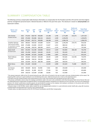# SUMMARY COMPENSATION TABLE

The following summary compensation table discloses information on compensation for the President and CEO, CFO and the next three highest paid key management personnel (each a Named Executive or NEO) for the past three years. This disclosure is based on **annual periods** and expressed in dollars.

| <b>Name and</b><br><b>Position</b>                      | Year | <b>Salary</b><br>( \$) | AIP <sup>1</sup><br>( \$ ) | LTIP <sup>2</sup><br>( \$) | <b>Pension</b><br>Contribution <sup>3</sup><br>( \$ ) | All<br>Other <sup>4</sup><br>( \$) | <b>Total</b><br><b>Compensation</b><br>( \$) | <b>Deferred</b><br><b>Portion of</b><br><b>ICP</b><br>( \$ ) | <b>Total Paid</b><br><b>Compensation</b> <sup>5</sup><br>( \$) |
|---------------------------------------------------------|------|------------------------|----------------------------|----------------------------|-------------------------------------------------------|------------------------------------|----------------------------------------------|--------------------------------------------------------------|----------------------------------------------------------------|
| John Sinclair                                           | 2021 | 375,053                | 828,750                    | 450,000                    | 115,386                                               | 2,706                              | 1,771,895                                    | 414,375                                                      | 1,357,520                                                      |
| President and CEO                                       | 2020 | 375,050                | 355,096                    | 326,316                    | 136,815                                               | 2,599                              | 1,195,876                                    |                                                              | 1,195,876                                                      |
|                                                         | 2019 | 375,047                | 432,721                    | 450,000                    | 136,584                                               | 2,225                              | 1,396,578                                    |                                                              | 1,396,578                                                      |
| Jonathan Spinney                                        | 2021 | 289,822                | 549,550                    | 319,000                    | 33,355                                                | 2,565                              | 1,194,293                                    | 274,775                                                      | 919,518                                                        |
| Chief Investment Officer,<br>VP, Quantitative Investing | 2020 | 274,896                | 152,065                    | 219,357                    | 31,647                                                | 2,251                              | 680,216                                      |                                                              | 680,216                                                        |
| & Applied Research                                      | 2019 | 255,008                | 230,518                    | 280,500                    | 29,471                                                | 2,132                              | 797,630                                      |                                                              | 797,630                                                        |
| James Scott                                             | 2021 | 252,053                | 412,296                    | 226,800                    | 29,314                                                | 2,429                              | 922,892                                      | 206,148                                                      | 716,744                                                        |
| VP, Fixed Income                                        | 2020 | 251,958                | 143,651                    | 164,463                    | 29,193                                                | 2,178                              | 591,443                                      |                                                              | 591,443                                                        |
|                                                         | 2019 | 240,008                | 147,263                    | 216,000                    | 27,866                                                | 2,087                              | 633,224                                      |                                                              | 633,224                                                        |
| Mark Holleran                                           | 2021 | 244,822                | 429,410                    | 220,500                    | 28,540                                                | 2,409                              | 925,681                                      | 214,705                                                      | 710,976                                                        |
| VP, Equities                                            | 2020 | 229,996                | 158,216                    | 150,105                    | 26,843                                                | 2,111                              | 567,271                                      |                                                              | 567,271                                                        |
|                                                         | 2019 | 223,035                | 142,723                    | 200,700                    | 26,050                                                | 2,034                              | 594,543                                      |                                                              | 594,543                                                        |
| <b>Brent Henry</b><br>CFO                               | 2021 | 151,645                | 144.560                    |                            | 23,359                                                | 2,090                              | 321,655                                      | 72,280                                                       | 249,375                                                        |
| Jan Imeson                                              | 2021 | 104,603                | 48,516                     | 92,458                     | 7,416                                                 | 448                                | 253,440                                      |                                                              | 253,440                                                        |
| Former CFO                                              | 2020 | 233,015                | 91,309                     | 101,375                    | 27,166                                                | 739                                | 453,604                                      |                                                              | 453,604                                                        |
|                                                         | 2019 | 228,510                | 122,509                    | 137,088                    | 26,636                                                | 718                                | 515,460                                      |                                                              | 515,460                                                        |

<sup>1</sup> This amount represents 100% of the ICP earned during the year. 50% of the ICP earned in the year are paid in the year of determination of the award. The *remaining 50% is paid out in equal installments over the following three years. Deferred amounts earn a return at the total fund return.*

*² LTIP paid in the year of determination of the award based on prior 4-year return periods and to be phased-out from 2021 to 2023.*

*³ The pension contribution column shows the employer contribution made in the year to the combination of the New Brunswick Public Service Pension Plan and the related Retirement Compensation Arrangement (RCA). Corresponding employee contributions are required as set out in the Plan. As set out in his employment contract, Mr. Sinclair's performance incentive payouts are pensionable for purposes of the employer and employee contribution to the pension plan and RCA. Performance incentive payouts for all other eligible employees are non-pensionable.*

*4 Amounts shown in the All Other column above include the cost of employer-paid enrolment in a post-retirement private health plan, group life insurance, accidental death and dismemberment insurance and a parking benefit.*

*5 Includes salary, non-deferred portion of the ICP, LTIP, Pension Contributions and All Other Compensation.*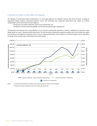### COMPENSATION LINKED TO INVESTMENT PERFORMANCE

The objective of performance-based compensation is to encourage alignment of employee interests with those of clients, including an appropriate balance between maximizing long-term returns and minimizing risks. Investment performance with respect to incentive compensation can be summarized into two categories:

- (i) long-term net relative investment returns versus benchmarks, and
- (ii) long-term nominal total fund portfolio returns and other business plan achievements.

The following chart illustrates the strong alignment of our incentive compensation payments to Vestcor's additional net investment value added above our clients' investment policy benchmarks. The total incentive compensation payments awarded over time correlate very highly to the long-term annualized net investment returns in excess of policy benchmarks, and are subject to a maximum payout cap as is intended in the design of the incentive plan as illustrated in the metrics below.



*Notes: \* 9-month 2016 annualized for calculation and comparison purposes as fiscal year-end changed.*

*\*\* Total paid incentives excludes amounts that are deferred under the ICP.*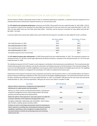# INCENTIVE COMPENSATION PLAN (ICP) OVERVIEW

The ICP amount of \$5,881.5 (thousand) consists of both an investment performance component, a corporate scorecard component and an individual performance achievement component based on our annual business plan.

The **ICP related to the investment performance** component was \$3,993.7 (thousand) for the year ended December 31, 2021 (2020 - \$774.2). This component is based on the annualized net value added over benchmarks for the most recent four years ended December 31, 2021. The 2021 net value added result was 210.4 basis points (bps) (2020 – (16.8) bps), and the long-term annualized net value added result was 86.7 bps (2020 – 56.9 bps).

A summary table of prior period value added results used to determine the long-term cumulative net value added ICP result is as follows:

|                                            | <b>Net Value Added</b><br>(bps) | <b>Percentage of Target</b><br>$(\%)$ |
|--------------------------------------------|---------------------------------|---------------------------------------|
| Year ended December 31, 2018               | 103.4                           | 246.2                                 |
| Year ended December 31, 2019               | 48.7                            | 115.9                                 |
| Year ended December 31, 2020               | (16.8)                          | (39.3)                                |
| Year ended December 31, 2021               | 210.4                           | 501.0                                 |
| Annualized Long-Term (Four Fiscal Periods) | 86.7                            | 206.4                                 |

The **ICP related to business plan achievements** is \$1,887.8 (thousand) for the year ended December 31, 2021. This component is based on an achievement factor of 1.28 times overall target approved by the Board of Directors, compared to the achievement factor of 1.37 for the year ended December 31, 2020.

The individual component of the ICP is based on each employee's contribution to the business plan accomplishments. The annual business plan includes both key performance indicators and specific action plans and initiatives focused on the five key goals in the Corporate Strategic Plan as set out in the following table. A specific weighting for each key goal is determined by the Board at the beginning of each year. The weighting reflects the Board's direction to management for prioritization of its efforts to implement the business plan.

Achievement of the long-term investment returns required by each pension and non-pension client in a risk-controlled fashion was Vestcor's primary investment performance objective for 2021 and accounts for the largest weighting proportion. The overall total fund active return for all clients combined was 9.46% gross for the year ended December 31, 2021, an annualized 7.50% gross for the most recent four-year period ended December 31, 2021, and most importantly 7.36% gross per annum since Vestcor's inception in 1996.

| <b>Key Goals</b>                                                                                                                                                                                                                                                                                                    | 2021 Weighting | <b>Achievement</b> |
|---------------------------------------------------------------------------------------------------------------------------------------------------------------------------------------------------------------------------------------------------------------------------------------------------------------------|----------------|--------------------|
| Advance Vestcor's governance, management and organizational<br>effectiveness to support growth and sustainability.                                                                                                                                                                                                  | 20%            | Exceeded           |
| Advance our clients' pension and benefit administration, and long-term<br>investment management service needs through prudent risk focused<br>practices and well executed service advancements.                                                                                                                     | 45%            | Exceeded           |
| Define the optimal "client experience" and create systems to enable the<br>consistent replication of this experience through growth cycles.                                                                                                                                                                         | 10%            | Met                |
| Strengthen stakeholder relationships with shareholders, client trustees,<br>plan members, employer groups and policy-setters.                                                                                                                                                                                       | 12.5%          | Met                |
| Continue to invest in technology improvements aimed at enhancing our<br>clients' experience, providing more automated processing and reporting<br>capabilities, expanding our data management strategy (investment<br>and administration), all while also protecting privacy and minimizing<br>cybersecurity risks. | 12.5%          | Exceeded           |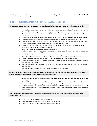In establishing the achievement factor, the Board considered the achievement of key performance indicators associated with each of the key goals as well as the following accomplishments:

### KEY GOALS BUSINESS PLAN ACCOMPLISHMENTS (Year ended December 31, 2021)

### **Advance Vestcor's governance, management and organizational effectiveness to support growth and sustainability.**

- Recruited and recommended to our Shareholder Vestcor Corp, two new members of the Vestcor Inc. Board of Directors. Orientation program completed post appointment by Vestcor Corp.
- Assisted the Board of Directors with an update to Vestcor's corporate risk appetite elements within our Enterprise Risk Management Framework.
- Enterprise Risk Management Framework updated to reflect a detailed review project and changes to risk appetite.
- Continued a virtual Speaker Series to safely offer presentations on relevant topics of interest for clients.
- Chairperson attendance at semi-annual shareholder meetings to ensure effective relationship and timely communication between Vestcor's shareholder and corporate Boards of Directors.
- Developed a Service Organization Controls Type 1 Report, Report on Internal Controls of Financial Reporting.
- Client Satisfaction Survey developed and completed.
- Completed office move to new office space at 140 Carleton.
- Implemented an investment trade order management system (OMS) to provide pre-and post-trade compliance and end to end trade processing capabilities.
- Updated leadership succession and development plans for all management levels.
- Appointed and integrated a new Chief Financial Officer following the planned retirement of the incumbent.
- With the assistance of an independent expert advisor, completed a Total Compensation Review.
- Implemented a new Incentive Plan which is based on the evolving industry trends in incentive design to reinforce alignment with client interests.
- With the assistance of an independent expert advisor, completed an Investment Benchmark and Value-Added Target Review.
- Updated the Human Resources Policies to include a detailed flexible work policy.

### **Advance our clients' pension and benefit administration, and long-term investment management service needs through prudent risk focused practices and well executed service advancements.**

- Long-term investment performance continuing to exceed annualized long-term total fund client targets at very low risk levels.
- Asset liability reviews and recommendations were completed for a number of our clients. Resultant client investment policy changes were approved and are being implemented.
- Continued to expand the recently created open-ended private real estate investment pool to meet growing client interest in this asset class. Significant transfers of certain directly owned properties to the pool were completed during the year.

### **Define the optimal "client experience" and create systems to enable the consistent replication of this experience through growth cycles.**

- Client Satisfaction Survey developed and completed.
- Continued to assess client service delivery capabilities against peers.
- Completed a comprehensive client onboarding package and protocols.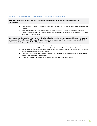### KEY GOALS BUSINESS PLAN ACCOMPLISHMENTS (Year ended December 31, 2021)

### **Strengthen stakeholder relationships with shareholders, client trustees, plan members, employer groups and policy-setters.**

- Added two new investment management clients and completed the transition of their assets to our investment program.
- Continued to expand our library of educational Vestcor website-based videos for clients and plan members.
- Provided a detailed review of Vestcor's operations and long-term performance at the Legislature's Standing Committee on Public Accounts.

**Continue to invest in technology improvements aimed at enhancing our clients' experience, providing more automated processing and reporting capabilities, expanding our data management strategy (investment and administration), all while also protecting privacy and minimizing cybersecurity risks.** 

- In conjunction with our office move, implemented the information technology network to our new office location.
- Developed a strategy and related budget to enable a fully remote workforce within the next two years.
- Added additional cybersecurity controls and tools including additional software to monitor for unauthorized devices attempting to access Vestcor's network.
- Completed a review of alternatives payroll applications and began a project to replace the current corporate payroll system. Implementation completed in early 2022.
- IT assistance provided on the Trade Order Management System implementation project.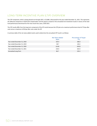# LONG-TERM INCENTIVE PLAN (LTIP) OVERVIEW

The LTIP component, which is being phased out through 2023, is \$2,688.1 (thousand) for the year ended December 31, 2021. This represents the deferred component of 2018 total compensation and the payout is based on the annualized net investment results in excess of the total fund performance benchmark for the most recent four years, 2018-2021.

The LTIP results differ from the long-term component of the ICP results because the LTIP plan set a maximum performance level of 75 bps after costs versus a maximum of 84 bps after costs under the ICP.

A summary table of the net value-added results used to determine the annualized LTIP result is as follows:

|                              | <b>Net Value Added</b><br>(bps) | <b>Percentage of Target</b><br>$(\%)$ |
|------------------------------|---------------------------------|---------------------------------------|
| Year ended December 31, 2018 | 103.4                           | 286.0                                 |
| Year ended December 31, 2019 | 48.7                            | 120.2                                 |
| Year ended December 31, 2020 | (16.8)                          | (40.0)                                |
| Year ended December 31, 2021 | 210.4                           | 610.3                                 |
| Annualized Long-Term         | 86.7                            | 235.5                                 |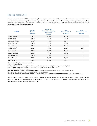### DIRECTORS' REMUNERATION

Directors' remuneration is established in Vestcor's By-Laws as approved by the Board of Vestcor Corp. Directors are paid an annual retainer and a per diem allowance for meeting attendance and preparation time. Directors who travel to attend meetings receive a per diem for travel time, reimbursement for reasonable accommodation costs and other out-of-pocket expenses, as well as an automobile expense reimbursement based on the number of kilometers traveled.

| <b>Annual</b><br><b>Retainer</b><br>(\$ dollars) | <b>Board and</b><br><b>Committee Meeting</b><br><b>Per Diems</b><br>(\$ dollars) | <b>Total</b><br>Remuneration <sup>1</sup><br>(\$ dollars) | <b>Travel</b><br><b>Reimbursement</b><br>(\$ dollars) |
|--------------------------------------------------|----------------------------------------------------------------------------------|-----------------------------------------------------------|-------------------------------------------------------|
| 25,000                                           | 17,500                                                                           | 44,774                                                    |                                                       |
| 10,000                                           | 5,600                                                                            | 16,314                                                    | $\overline{\phantom{0}}$                              |
| 15,000                                           | 5,200                                                                            | 11,664                                                    |                                                       |
| 15,000                                           | 9,200                                                                            | 24,029                                                    | $\overline{\phantom{0}}$                              |
| 10,000                                           | 3,500                                                                            | 8,783                                                     |                                                       |
| 10,000                                           | 3,850                                                                            | 9,153                                                     | 221                                                   |
| 15,000                                           | 12,800                                                                           | 29,222                                                    | $\qquad \qquad -$                                     |
| 10,000                                           | 8,750                                                                            | 19,647                                                    | $\overline{\phantom{0}}$                              |
| 10,000                                           | 5,600                                                                            | 16,314                                                    |                                                       |
| 15,000                                           | 10,050                                                                           | 24,929                                                    |                                                       |
| 15,000                                           | 12,000                                                                           | 28,375                                                    | $\overline{\phantom{0}}$                              |
|                                                  |                                                                                  |                                                           |                                                       |

*1 Includes costs of employer-paid statutory deductions*

*2 Chair of Board of Directors*

*3 Chair of Audit Committee January 1, 2021 to March 31, 2021, retired from the Board of Directors effective June 30, 2021*

*4 Chair of Human Resources & Compensation Committee from April 1, 2021 to December 31, 2021*

*5 Appointed to Board of Directors July 1, 2021*

*6 Vice Chair of Board of Directors, Chair of Human Resources & Compensation Committee from January 1, 2021 to March 31, 2021*

*7 Chair of the Governance Committee from April 1, 2021 to December 31, 2021*

*8 Chair of the Governance Committee from January 1, 2021 to March 31, 2021, Chair of the Audit Committee from April 1, 2021 to December 31, 2021*

The total cost of the Vestcor Board function, including per diems, director orientation and Board education and memberships, for the year ended December 31, 2021 was \$245.4 thousand (December 31, 2020 – \$227.4 thousand) plus travel and accommodation reimbursements of \$0.2 thousand (December 31, 2020 – \$4.0 thousand).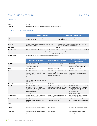### COMPENSATION PROGRAM EXHIBIT A

### BASE SALARY

**Eligibility** All Staff

**Objectives** Reward level of responsibility, expertise, competency and relevant experience

### INCENTIVE COMPENSATION PROGRAM

|                     | <b>Corporate Scorecard</b>                                                                                                                                                                            | <b>Individual Performance</b>                                                                                |  |  |
|---------------------|-------------------------------------------------------------------------------------------------------------------------------------------------------------------------------------------------------|--------------------------------------------------------------------------------------------------------------|--|--|
| Eligibility         | Full-time permanent employees subject to a minimum of six<br>months employment.                                                                                                                       | Full-time permanent employees subject to a minimum of six<br>months employment.                              |  |  |
| <b>Targets</b>      | 2.5% to 35% of base salary                                                                                                                                                                            | 2.5% to 25% of base salary                                                                                   |  |  |
| <b>Objectives</b>   | Reward performance with respect to achievement of Annual<br>Business Plan objectives.                                                                                                                 | Individual performance in contributing to the achievement Board<br>approved Annual Business Plan objectives. |  |  |
| <b>Time horizon</b> |                                                                                                                                                                                                       | Current year                                                                                                 |  |  |
| Type of program     | CEO, CFO, CIO, CPBO, investment staff and select other positions – 50% of incentive is paid in year 1 and the remaining 50% is deferred and<br>paid in equal instalments over the proceeding 3 years. |                                                                                                              |  |  |
|                     | All other positions - Cash                                                                                                                                                                            |                                                                                                              |  |  |
| Deferral Method     | Deferred amounts accrue at the weighted average absolute client return.                                                                                                                               |                                                                                                              |  |  |

|                            | <b>Absolute Client Return</b>                                                                                                                                                                                  | <b>Investment Team Performance</b>                                                                                                                             | <b>Investment Total Fund</b><br><b>Performance</b>                                                                                                                                                             |
|----------------------------|----------------------------------------------------------------------------------------------------------------------------------------------------------------------------------------------------------------|----------------------------------------------------------------------------------------------------------------------------------------------------------------|----------------------------------------------------------------------------------------------------------------------------------------------------------------------------------------------------------------|
| Eligibility                | CEO, CFO, CIO, CPBO, investment staff and<br>select other positions subject to a minimum<br>of six months employment.                                                                                          | CIO and investment staff subject to a<br>minimum of six months employment.                                                                                     | CEO, CFO, CIO, investment and risk staff<br>and select other positions subject to a<br>minimum of six months employment.                                                                                       |
| <b>Targets</b>             | 1% to 20% of base salary                                                                                                                                                                                       | 7% to 18% of base salary                                                                                                                                       | 2.5% to 55% of base salary                                                                                                                                                                                     |
| <b>Objectives</b>          | Align eligible employee compensation<br>to team and total fund investment<br>performance with an incentive to achieve<br>sustained asset growth.                                                               | Align eligible employee compensation to<br>team investment performance with an<br>incentive to achieve sustained asset growth.<br>Strengthen team cooperation. | Align eligible employee compensation to<br>total fund investment performance with<br>an incentive to achieve sustained asset<br>growth.                                                                        |
|                            | Strengthen team cooperation.                                                                                                                                                                                   |                                                                                                                                                                | Strengthen team cooperation.                                                                                                                                                                                   |
|                            | Reward individual performance with<br>respect to achievement of Annual Business<br>Plan objectives.                                                                                                            |                                                                                                                                                                |                                                                                                                                                                                                                |
| <b>Time horizon</b>        | 4 fiscal periods                                                                                                                                                                                               | 4 fiscal periods                                                                                                                                               | 4 fiscal periods                                                                                                                                                                                               |
| Type of program            | CEO, CFO, CIO, CPBO, investment staff and<br>select other positions - 50% of incentive<br>is paid in year 1 and the remaining 50% is<br>deferred and paid in equal instalments over<br>the proceeding 3 years. | 50% of incentive is paid in year 1 and the<br>remaining 50% is deferred and paid in equal<br>instalments over the proceeding 3 years.                          | CEO, CFO, CIO, CPBO, investment staff and<br>select other positions - 50% of incentive<br>is paid in year 1 and the remaining 50% is<br>deferred and paid in equal instalments over<br>the proceeding 3 years. |
|                            | All other positions - Cash                                                                                                                                                                                     |                                                                                                                                                                | All other positions - Cash                                                                                                                                                                                     |
| <b>Deferral Method</b>     | Deferred amounts accrue at the weighted<br>average absolute client return.                                                                                                                                     | Deferred amounts accrue at the weighted<br>average absolute client return.                                                                                     | Deferred amounts accrue at the weighted<br>average absolute client return.                                                                                                                                     |
| Performance metric(s)      | Client fund returns in excess of client<br>established long-term investment return<br>targets.                                                                                                                 | Investment team(s) active returns in excess<br>of benchmarks and targets.                                                                                      | Total fund returns in excess of benchmark,<br>net of investment management expenses.                                                                                                                           |
| Range:<br><b>Threshold</b> | Pre-established client return thresholds                                                                                                                                                                       | Full cost recovery                                                                                                                                             | Benchmark return                                                                                                                                                                                               |
| Target                     | Client established long-term return targets                                                                                                                                                                    | 42 bps after costs                                                                                                                                             | Pre-established, Board approved portfolio<br>target investment returns                                                                                                                                         |
| Maximum                    | Client established long-term return targets<br>plus 1%                                                                                                                                                         | 84 bps after costs                                                                                                                                             | 2x pre-established, Board approved<br>portfolio target investment returns                                                                                                                                      |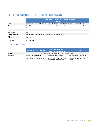### LONG-TERM INCENTIVE PROGRAM – PROGRAM BEING PHASED OUT THROUGH 2023.

|                                                        | Long-Term Incentive (targets 15% -75% of base salary)<br><b>Deferred</b>                                                        |
|--------------------------------------------------------|---------------------------------------------------------------------------------------------------------------------------------|
| Eligibility                                            | Investment and research staff, President and CEO and the Chief Financial Officer subject to a minimum of four years employment. |
| <b>Objectives</b>                                      | Align eligible employee compensation to total fund investment performance with an incentive to achieve sustained asset growth.  |
|                                                        | Strengthen team cooperation.                                                                                                    |
| <b>Time horizon</b>                                    | 4 fiscal periods                                                                                                                |
| Type of program                                        | Cash                                                                                                                            |
| Performance metric(s)                                  | Total fund returns in excess of benchmark, net of investment management expenses.                                               |
| Range:<br><b>Threshold</b><br><b>Target</b><br>Maximum | Full cost recovery<br>42 bps after costs<br>75 bps after costs                                                                  |

### INDIRECT COMPENSATION

|                    | <b>Membership in the NBPSPP</b>                                                                                | <b>Employee Benefits and</b><br><b>Post-Retirement Benefits</b>                                                                                                           | <b>Perquisites</b>                                                                                                                       |
|--------------------|----------------------------------------------------------------------------------------------------------------|---------------------------------------------------------------------------------------------------------------------------------------------------------------------------|------------------------------------------------------------------------------------------------------------------------------------------|
| <b>Eligibility</b> |                                                                                                                | Full-time staff and term employees under contract for one year or longer.                                                                                                 |                                                                                                                                          |
| <b>Objectives</b>  | Encourage long-term retention by<br>rewarding continued service and<br>contributing to post-retirement income. | Provide staff and their families with<br>assistance and security so that they can<br>focus on their professional responsibilities<br>and achieving the corporate mission. | Offers a limited number of benefits to<br>complement total compensation including<br>parking and a health spending account<br>allowance. |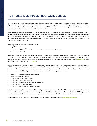# **RESPONSIBLE INVESTING GUIDELINES**

As a steward of our clients' capital, Vestcor takes fiduciary responsibility to make prudent sustainable investment decisions that are aligned with client guidelines and objectives. As part of this investment process, we have over time incorporated increasing levels of active ownership and actionable Environmental, Social, and Governance (ESG) information into our investment processes and will continue to make enhancements in this area as client interest, data availability and resources permit.

Vestcor first published its updated Responsible Investing Guidelines in 2018 and plans to make the next revision of our standards in 2022. In 2019, we presented the revised principles to clients at our inaugural Client Forum and have since continued to provide periodic client updates on issues related to responsible investing to clients as part of our regular reporting process and at their request. A further detailed update was also provided to our clients during a webinar in June 2021 and all future updates to our Responsible Investing Guidelines will be communicated in a similar fashion.

Vestcor's core principles of Responsible Investing are:

- Good governance,
- Active ownership and engagement,
- Incorporation of ESG information into our investment process wherever practicable, and
- Transparency with clients.

In addition to directly incorporating ESG information into our investment process, Vestcor also continues to be a very active long-term member/ partner in various organizations that support best practice environmental, social, and governance-related investment actions. For example, Vestcor has been an active long serving member in organizations such as the Pension Investment Association of Canada (**[piacweb.org](https://piacweb.org/)**) and the Canadian Coalition for Good Governance (**[ccgg.ca](https://ccgg.ca/)**).

In 2020, Vestcor's Board of Directors endorsed the CCGG's inaugural Stewardship Principles which are designed to assist institutional investors in fulfilling their responsibilities toward their clients and beneficiaries, while enhancing the value of their investments. These Stewardship Principles provide an excellent complement to our corporate Responsible Investment Guidelines and Vestcor has identified a number of internal processes and relationships which assist us in meeting each of the following related principles:

- Principle  $1$  Develop an approach to stewardship
- Principle 2 Monitor companies
- Principle 3 Report on voting activities
- Principle 4 Engage with companies
- Principle 5 Collaborate with other institutional investors
- Principle 6 Work with policy makers
- Principle 7 Focus on long-term sustainable value

In addition to general updates to our Responsible Investing Guidelines, Vestcor's focus in 2022 will be on improved understanding of carbon risk inherent in our clients' portfolios through the completion of a Task Force on Climate-Related Financial Disclosures (TCFD) aligned report that will be shared with clients and used as a starting point for more effective climate risk management on behalf of our clients.

Additional details and any updates to our Responsible Investment Guidelines can be found at **[vestcor.org/investments](https://vestcor.org/en/investments/)**.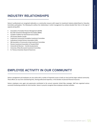# **INDUSTRY RELATIONSHIPS**

Vestcor's professionals are recognized nationally as a constructive resource with respect to investment industry-related Board or Executive Committee participation. The following list outlines the relationships in which management has actively donated their time in this type of capacity during 2021:

- Association of Canadian Pension Management (ACPM)
- Buy-Side Investment Management Association (BIMA)
- Canadian Coalition for Good Governance (CCGG)
- CFA Society Atlantic Canada
- Fredericton Community Foundation Investment Committee
- Institutional Limited Partners Association (ILPA)
- NB Association of Community Living Investment Committee
- Pension Investment Association of Canada (PIAC)
- Université de Moncton Comité de placements
- University of New Brunswick Investment Committee
- St. Thomas University's Board of Governors

# **EMPLOYEE ACTIVITY IN OUR COMMUNITY**

Vestcor management and employees are very active with a number of important causes in both our local and the larger national community. These efforts can vary from volunteering time, sharing professional expertise, or the donation of personal financial resources.

Vestcor employees once again very generously contributed to the annual corporate United Way campaign. Staff also organized various successful fundraising activities for local charities. Vestcor is proud to recognize these employee volunteer activities.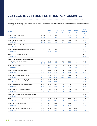# **VESTCOR INVESTMENT ENTITIES PERFORMANCE**

The specific performance of each Vestcor Investment Entity and its respective benchmark return for the period indicated to December 31, 2021 is outlined in the table below.

| <b>Entity</b>                                                                                       | 1 Yr<br>%      | 2 Yrs<br>%     | 3 Yrs<br>℅     | 4 Yrs<br>%   | 5 Yrs<br>%   | 10 Yrs<br>$\%$ | <b>Since</b><br>Inception <sup>1</sup><br>% |
|-----------------------------------------------------------------------------------------------------|----------------|----------------|----------------|--------------|--------------|----------------|---------------------------------------------|
| <b>NBIMC Nominal Bond Fund</b>                                                                      | (2.56)         | 3.34           | 4.51           | 3.81         | 3.57         | 3.38           | 5.13                                        |
| <b>Benchmark</b>                                                                                    | (2.97)         | 2.70           | 3.92           | 3.32         | 3.09         | 2.98           | 4.90                                        |
| <b>NBIMC Corporate Bond Fund</b>                                                                    | (1.51)         | 3.38           | 4.91           | 3.93         | 3.73         | 4.08           | 4.08                                        |
| <b>Benchmark</b>                                                                                    | (1.34)         | 3.57           | 5.05           | 4.04         | 3.91         | 4.05           | 4.05                                        |
| NBP Canadian Long-Term Bond Fund<br><b>Benchmark</b>                                                |                |                |                |              |              |                | 6.60<br>6.88                                |
| NBIMC International High Yield Fixed Income Fund<br><b>Benchmark</b>                                | 4.26<br>2.39   | 3.62<br>3.26   | 7.13<br>6.16   |              |              |                | 5.67<br>4.54                                |
| Vestcor FP LDI Completion Fund<br><b>Benchmark</b>                                                  |                |                |                |              |              |                | (0.05)<br>0.14                              |
| <b>NBIMC New Brunswick and Atlantic Canada</b><br>Fixed Income Opportunity Fund<br><b>Benchmark</b> | 0.05<br>(2.97) | 2.76<br>2.70   | 3.29<br>3.92   | 3.11<br>3.32 | 3.18<br>3.09 | 3.42<br>2.98   | 5.83<br>4.90                                |
| <b>NBIMC Money Market Fund</b>                                                                      | 0.25           | 0.66           | 1.14           | 1.31         | 1.27         | 1.25           | 2.48                                        |
| <b>Benchmark</b>                                                                                    | 0.17           | 0.50           | 0.88           | 1.01         | 0.92         | 0.87           | 2.15                                        |
| <b>NBIMC Student Investment Fund</b>                                                                | 12.25          | 10.69          | 11.83          | 7.96         | 7.69         | 6.79           | 7.19                                        |
| <b>Benchmark</b>                                                                                    | 11.85          | 10.11          | 11.32          | 7.56         | 7.24         | 6.61           | 6.97                                        |
| <b>NBIMC Canadian Equity Index Fund</b>                                                             | 25.25          | 15.11          | 17.73          | 10.45        | 10.24        | 9.69           | 7.55                                        |
| <b>Benchmark</b>                                                                                    | 25.09          | 14.93          | 17.52          | 10.28        | 10.04        | 9.14           | 7.17                                        |
| NBIMC Canadian Small Cap Equity Fund<br><b>Benchmark</b>                                            | 30.68<br>20.27 | 23.41<br>16.51 | 21.78<br>16.29 |              |              |                | 11.70<br>8.02                               |
| NBIMC Low Volatility Canadian Equity Fund                                                           | 23.96          | 10.21          | 14.92          | 8.88         | 9.12         |                | 10.34                                       |
| <b>Benchmark</b>                                                                                    | 26.08          | 11.52          | 15.57          | 9.50         | 9.15         |                | 9.36                                        |
| <b>NBIMC External Canadian Equity Fund</b>                                                          | 25.23          | 15.63          | 17.95          | 10.68        | 10.38        | 9.86           | 10.64                                       |
| <b>Benchmark</b>                                                                                    | 25.09          | 14.93          | 17.52          | 10.28        | 10.04        | 9.14           | 9.73                                        |
| NBIMC Canadian Equity Active Long Strategy Fund<br><b>Benchmark</b>                                 |                |                |                |              |              |                | 3.71<br>4.23                                |
| NBIMC External International Equity Fund <sup>2</sup>                                               | 12.37          | 8.47           | 11.07          | 6.02         | 8.86         | 12.00          | 6.62                                        |
| <b>Benchmark</b>                                                                                    | 10.32          | 8.10           | 10.62          | 6.20         | 8.25         | 10.36          | 5.42                                        |
| NBIMC EAFE Equity Index Fund                                                                        | 10.48          | 8.30           | 10.84          | 6.43         | 8.52         |                | 8.47                                        |
| <b>Benchmark</b>                                                                                    | 10.32          | 8.10           | 10.62          | 6.20         | 8.25         |                | 8.24                                        |
| NBIMC EAFE Equity Index Fund - Class N                                                              | 10.50          | 8.27           | 10.83          | 6.43         | 8.48         | 10.59          | 5.73                                        |
| <b>Benchmark</b>                                                                                    | 10.32          | 8.10           | 10.62          | 6.20         | 8.25         | 10.36          | 5.42                                        |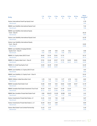| <b>Entity</b>                                                                     | 1 Yr<br>%      | 2 Yrs<br>%      | 3 Yrs<br>%     | 4 Yrs<br>℅     | 5 Yrs<br>℅     | 10 Yrs<br>%    | <b>Since</b><br>Inception <sup>1</sup><br>% |
|-----------------------------------------------------------------------------------|----------------|-----------------|----------------|----------------|----------------|----------------|---------------------------------------------|
| Vestcor International Small Cap Equity Fund<br><b>Benchmark</b>                   |                |                 |                |                |                |                | 2.79<br>2.05                                |
| NBIMC Low Volatility International Equity Fund<br><b>Benchmark</b>                |                |                 |                |                |                |                | 7.32<br>7.06                                |
| NBIMC Low Volatility International Equity<br>Fund - Class N<br><b>Benchmark</b>   |                |                 |                |                |                |                | 10.10<br>9.97                               |
| Vestcor Low Volatility International Equity Fund<br><b>Benchmark</b>              |                |                 |                |                |                |                | 12.70<br>12.86                              |
| Vestcor Low Volatility International Equity<br>Fund - Class N<br><b>Benchmark</b> |                |                 |                |                |                |                | 12.83<br>12.86                              |
| <b>NBIMC Low Volatility Emerging Markets</b>                                      |                |                 |                |                |                |                |                                             |
| Equity Fund - Class N<br><b>Benchmark</b>                                         | 5.71<br>4.65   | 2.99<br>5.28    | 4.02<br>4.51   | 2.75<br>4.06   | 5.61<br>6.78   |                | 3.96<br>4.27                                |
| NBIMC U.S. Equity Index (2017) Fund                                               | 26.92          | 21.54           | 22.61          | 17.75          |                |                | 15.75                                       |
| <b>Benchmark</b>                                                                  | 26.88          | 21.49           | 22.59          | 17.72          |                |                | 15.72                                       |
| NBIMC U.S. Equity Index Fund - Class N<br><b>Benchmark</b>                        | 27.01<br>26.35 | 21.46<br>20.90  | 22.57<br>21.96 | 17.72<br>17.09 | 16.90<br>16.32 | 19.01<br>18.74 | 13.64<br>13.49                              |
| NBIMC U.S. Small Cap Equity Fund                                                  | 15.03          | 16.39           | 17.29          |                |                |                | 12.29                                       |
| <b>Benchmark</b>                                                                  | 13.52          | 15.44           | 16.51          |                |                |                | 11.33                                       |
| NBIMC Low Volatility U.S. Equity (2017) Fund<br><b>Benchmark</b>                  |                |                 |                |                |                |                | 7.07<br>8.68                                |
| NBIMC Low Volatility U.S. Equity Fund - Class N<br><b>Benchmark</b>               |                |                 |                |                |                |                | 15.32<br>16.34                              |
| <b>NBIMC Inflation Linked Securities Fund</b><br><b>Benchmark</b>                 | 1.70<br>1.84   | 7.42<br>7.29    | 7.72<br>7.53   | 5.77<br>5.58   | 4.78<br>4.59   | 3.11<br>2.96   | 6.82<br>6.65                                |
| <b>NBIMC Canadian Real Estate Fund</b><br><b>Benchmark</b>                        | 15.60<br>5.33  | 8.50<br>5.47    | 9.42<br>5.69   | 10.82<br>5.73  | 11.68<br>5.68  | 10.57<br>5.51  | 11.70<br>5.70                               |
| NBIMC Canadian Real Estate Investment Trust Fund<br><b>Benchmark</b>              | 35.10<br>35.12 | 8.41<br>8.37    | 13.14<br>12.98 | 11.49<br>11.28 | 11.19<br>10.99 |                | 9.71<br>9.51                                |
| NBIMC Non-Canadian Private Real Estate Fund<br><b>Benchmark</b>                   | 0.04<br>5.33   | (10.67)<br>5.47 | (5.23)<br>5.69 | (0.90)<br>5.73 | 3.13<br>5.68   |                | 1.41<br>5.57                                |
| Vestcor Investments Private Real Estate, L.P.<br><b>Benchmark</b>                 | 11.41<br>5.33  | 5.53<br>5.47    | 7.36<br>5.69   | 6.18<br>5.73   |                |                | 5.87<br>5.68                                |
| Vestcor Investments Private Real Estate 2, L.P.<br><b>Benchmark</b>               | 16.39<br>5.33  | 10.31<br>5.47   | 6.69<br>5.69   |                |                |                | 8.04<br>5.60                                |
| Vestcor Real Estate Fund Limited Partnership<br><b>Benchmark</b>                  | 11.22<br>5.33  | 5.77<br>5.47    |                |                |                |                | 5.10<br>5.50                                |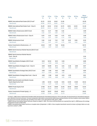| <b>Entity</b>                                                                                        | 1 Yr<br>%      | 2 Yrs<br>%     | 3 Yrs<br>%     | 4 Yrs<br>%     | 5 Yrs<br>%     | 10 Yrs<br>%    | <b>Since</b><br>Inception <sup>1</sup><br>% |
|------------------------------------------------------------------------------------------------------|----------------|----------------|----------------|----------------|----------------|----------------|---------------------------------------------|
| NBIMC International Real Estate (2017) Fund <sup>3</sup><br><b>Benchmark</b>                         | 41.25<br>39.96 | 13.52<br>14.22 | 16.62<br>16.81 | 13.28<br>13.63 |                |                | 10.30<br>10.57                              |
| NBIMC International Real Estate Fund - Class N<br><b>Benchmark</b>                                   | 41.29<br>38.70 | 14.53<br>13.21 | 17.24<br>15.67 | 13.73<br>12.45 | 10.91<br>9.95  | 14.53<br>14.09 | 11.10<br>10.66                              |
| NBIMC Public Infrastructure (2017) Fund<br><b>Benchmark</b>                                          | 9.11<br>5.33   | 4.17<br>5.47   | 7.00<br>5.69   | 5.42<br>5.73   |                |                | 3.99<br>5.59                                |
| NBIMC Public Infrastructure Fund - Class N<br><b>Benchmark</b>                                       | 8.79<br>5.33   | 3.25<br>5.47   | 6.20<br>5.69   | 4.75<br>5.73   | 4.52<br>5.68   |                | 3.99<br>5.60                                |
| <b>NBIMC Infrastructure Fund</b><br><b>Benchmark</b>                                                 | 2.64<br>5.33   | 3.10<br>5.47   | 7.22<br>5.69   | 7.97<br>5.73   | 9.29<br>5.68   | 8.56<br>5.62   | 8.35<br>5.65                                |
| Vestcor Investments Infrastructure, L. P.<br><b>Benchmark</b>                                        | 10.22<br>5.33  | 7.97<br>5.47   | 7.42<br>5.69   | 10.36<br>5.73  |                |                | 10.73<br>5.59                               |
| NBIMC North American Market Neutral (2017) Fund<br><b>Benchmark</b>                                  |                |                |                |                |                |                | 2.61<br>1.13                                |
| <b>NBIMC North American Market Neutral</b><br>Fund - Class N<br><b>Benchmark</b>                     |                |                |                |                |                |                | 2.26<br>1.68                                |
| NBIMC Quantitative Strategies (2017) Fund<br><b>Benchmark</b>                                        | 8.24<br>0.17   | 10.52<br>0.50  | 8.55<br>0.88   | 6.56<br>1.01   |                |                | 6.88<br>0.96                                |
| NBIMC Quantitative Strategies Fund - Class N<br><b>Benchmark</b>                                     | 8.30<br>0.17   | 10.89<br>0.50  | 8.71<br>0.88   | 6.41<br>1.01   | 6.36<br>0.92   | 6.08<br>0.87   | 4.97<br>0.94                                |
| NBIMC Quantitative Strategic Beta (2017) Fund<br><b>Benchmark</b>                                    | 4.90<br>0.17   | 3.46<br>0.50   | 4.62<br>0.88   | 4.68<br>1.01   |                |                | 4.84<br>0.96                                |
| NBIMC Quantitative Strategic Beta Fund - Class N<br><b>Benchmark</b>                                 | 4.60<br>0.17   | 2.96<br>0.50   | 4.40<br>0.88   | 4.53<br>1.01   | 4.59<br>0.92   |                | 4.81<br>0.88                                |
| <b>NBIMC New Brunswick and Atlantic Canada</b><br><b>Equity Opportunity Fund</b><br><b>Benchmark</b> | 1.96<br>5.33   | 12.42<br>5.47  | 11.48<br>5.69  | 8.55<br>5.73   | 12.04<br>5.68  | 13.68<br>5.62  | 10.16<br>6.71                               |
| <b>NBIMC Private Equity Fund</b><br><b>Benchmark</b>                                                 | 27.86<br>21.26 | 25.73<br>15.65 | 18.88<br>17.15 | 21.05<br>11.87 | 20.50<br>12.43 | 18.68<br>14.06 | 13.34<br>9.17                               |
| Vestcor Investments Private Equity, L. P.<br><b>Benchmark</b>                                        | 41.93<br>21.02 | 29.97<br>17.06 | 19.49<br>17.62 | 18.13<br>11.73 |                |                | 10.45<br>11.88                              |

*1 On April 1, 2008, Vestcor implemented Canadian dollar benchmarks for international exposures. Prior to that date, the benchmarks for international exposures were reflected in the local currencies. To ensure comparative information is presented for performance and benchmarks, the Since Inception column above reflects the returns from the later of the first day of trading in the entity or, if an international entity, April 1, 2008.* 

*2 NBIMC External International Equity Fund was created on August 1, 2001. The returns and benchmarks are reported from April 1, 2008 because the strategy changed from Europe to MSCI EAFE.* 

*3 NBIMC International Real Estate Fund has an inception date of September 2, 2003. A Since Inception benchmark cannot be shown as foreign indices are only reported as of April 1, 2008.*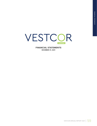# VESTCOR

**FINANCIAL STATEMENTS DECEMBER 31, 2021**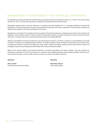# MANAGEMENT'S RESPONSIBILITY FOR FINANCIAL STATEMENTS

The following annual financial statements report the financial position and results of operations of Vestcor Inc. ("Vestcor") for the year ended December 31, 2021. They have been prepared by management and approved by the Board of Directors.

Management prepared Vestcor's financial statements in accordance with CPA Handbook Part III - *Accounting Standards for Not-for-Profit Organizations*. The financial statements are general purpose financial statements and include a Statement of Financial Position, Statement of Operations and Changes in Net Assets and Statement of Cash Flow.

Management is responsible for the integrity and fair presentation of the financial statements, including amounts based on best estimates and judgments. Vestcor maintains systems of internal control and supporting procedures to provide reasonable assurance that accurate financial information is available, that assets are protected and that resources are managed efficiently.

Ultimate responsibility for the financial statements rests with the Board of Directors. The Board is assisted in its responsibilities by the Audit Committee, consisting of six independent Board members. The Audit Committee reviews the financial statements and recommends them for approval by the Board. The Audit Committee also reviews matters related to accounting, auditing, internal control systems, financial risk management and the scope, planning and audit findings of the internal and external auditors.

KPMG LLP, the external auditors of the financial statements, are directly accountable to the Audit Committee. They have conducted an independent examination of the financial statements in accordance with Canadian generally accepted auditing standards, performing such tests and other procedures as they consider necessary to express an opinion to the Board of Directors.

**[signed by]**

**[signed by]**

**John A. Sinclair** President and Chief Executive Officer

**Brent Henry, CPA, CA** Chief Financial Officer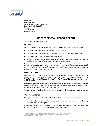

KPMG LLP Frederick Square 77 Westmorland Street, Suite 700 Fredericton NB E3B 6Z3 Canada Tel 506-452-8000 Fax 506-450-0072

### **INDEPENDENT AUDITORS' REPORT**

To the Shareholder of Vestcor Inc.

### *Opinion*

We have audited the financial statements of Vestcor Inc. (the Entity) which comprise:

- the statement of financial position as at December 31, 2021
- the statement of operations and changes in net assets for the year then ended
- the statement of cash flow for the year then ended
- and notes to the financial statements, including a summary of significant accounting policies (Hereinafter referred to as the "financial statements").

In our opinion, the accompanying financial statements present fairly, in all material respects, the financial position of the Entity as at December 31, 2021, and its results of operations and its cash flows for the year then ended in accordance with Canadian accounting standards for not-for-profit organizations.

### *Basis for Opinion*

We conducted our audit in accordance with Canadian generally accepted auditing standards. Our responsibilities under those standards are further described in the **"***Auditors' Responsibilities for the Audit of the Financial Statements***"** section of our auditors' report.

We are independent of the Entity in accordance with the ethical requirements that are relevant to our audit of the financial statements in Canada and we have fulfilled our other responsibilities in accordance with these requirements.

We believe that the audit evidence we have obtained is sufficient and appropriate to provide a basis for our opinion.

### *Other Information*

Management is responsible for the other information. Other information comprises:

 the information, other than the financial statements and the auditors' report thereon, included in the annual report.

Our opinion on the financial statements does not cover the other information and we do not and will not express any form of assurance conclusion thereon.

KPMG LLP, an Ontario limited liability partnership and member firm of the KPMG global organization of independent member firms affiliated with KPMG International Limited, a private English company limited by guarantee. KPMG Canada provides services to KPMG LLP.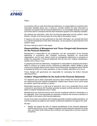

Page 2

In connection with our audit of the financial statements, our responsibility is to read the other information identified above and, in doing so, consider whether the other information is materially inconsistent with the financial statements or our knowledge obtained in the audit and remain alert for indications that the other information appears to be materially misstated.

We obtained the information, other than the financial statements and the auditors' report thereon, included in the annual report as at the date of this auditors' report.

If, based on the work we have performed on this other information, we conclude that there is a material misstatement of this other information, we are required to report that fact in the auditors' report.

We have nothing to report in this regard.

### *Responsibilities of Management and Those Charged with Governance for the Financial Statements*

Management is responsible for the preparation and fair presentation of the financial statements in accordance with Canadian accounting standards for not-for-profit organizations, and for such internal control as management determines is necessary to enable the preparation of financial statements that are free from material misstatement, whether due to fraud or error.

In preparing the financial statements, management is responsible for assessing the Entity's ability to continue as a going concern, disclosing as applicable, matters related to going concern and using the going concern basis of accounting unless management either intends to liquidate the Entity or to cease operations, or has no realistic alternative but to do so.

Those charged with governance are responsible for overseeing the Entity's financial reporting process.

### *Auditors' Responsibilities for the Audit of the Financial Statements*

Our objectives are to obtain reasonable assurance about whether the financial statements as a whole are free from material misstatement, whether due to fraud or error, and to issue an auditors' report that includes our opinion.

Reasonable assurance is a high level of assurance, but is not a guarantee that an audit conducted in accordance with Canadian generally accepted auditing standards will always detect a material misstatement when it exists.

Misstatements can arise from fraud or error and are considered material if, individually or in the aggregate, they could reasonably be expected to influence the economic decisions of users taken on the basis of the financial statements.

As part of an audit in accordance with Canadian generally accepted auditing standards, we exercise professional judgment and maintain professional skepticism throughout the audit.

We also:

 Identify and assess the risks of material misstatement of the financial statements, whether due to fraud or error, design and perform audit procedures responsive to those risks, and obtain audit evidence that is sufficient and appropriate to provide a basis for our opinion.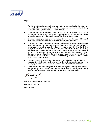

### Page 3

The risk of not detecting a material misstatement resulting from fraud is higher than for one resulting from error, as fraud may involve collusion, forgery, intentional omissions, misrepresentations, or the override of internal control.

- Obtain an understanding of internal control relevant to the audit in order to design audit procedures that are appropriate in the circumstances, but not for the purpose of expressing an opinion on the effectiveness of the Entity's internal control.
- Evaluate the appropriateness of accounting policies used and the reasonableness of accounting estimates and related disclosures made by management.
- Conclude on the appropriateness of management's use of the going concern basis of accounting and, based on the audit evidence obtained, whether a material uncertainty exists related to events or conditions that may cast significant doubt on the Entity's ability to continue as a going concern. If we conclude that a material uncertainty exists, we are required to draw attention in our auditors' report to the related disclosures in the financial statements or, if such disclosures are inadequate, to modify our opinion. Our conclusions are based on the audit evidence obtained up to the date of our auditors' report. However, future events or conditions may cause the Entity to cease to continue as a going concern.
- Evaluate the overall presentation, structure and content of the financial statements, including the disclosures, and whether the financial statements represent the underlying transactions and events in a manner that achieves fair presentation.
- Communicate with those charged with governance regarding, among other matters, the planned scope and timing of the audit and significant audit findings, including any significant deficiencies in internal control that we identify during our audit.

KPMG LLP

Chartered Professional Accountants

Fredericton, Canada April 28, 2022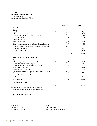### **VESTCOR INC. Statement of Financial Position**  As at December 31 *(in thousands of Canadian dollars)*

|                                                                 | 2021 |        |    | 2020   |  |  |
|-----------------------------------------------------------------|------|--------|----|--------|--|--|
| <b>ASSETS</b>                                                   |      |        |    |        |  |  |
| Current                                                         |      |        |    |        |  |  |
| Cash                                                            | \$   | 1,101  | \$ | 2,716  |  |  |
| Accounts receivable (note 10)                                   |      | 7,184  |    | 4,890  |  |  |
| Accounts receivable – Vestcor Corp. (note 10)                   |      | 1      |    | 822    |  |  |
| Other receivables                                               |      | 68     |    | 32     |  |  |
| Prepaid expenses                                                |      | 865    |    | 1,411  |  |  |
| Total current assets                                            |      | 9,219  |    | 9,871  |  |  |
| Long-term accounts receivable for supplemental pension          |      | 327    |    | 362    |  |  |
| Long-term accounts receivable for incentive compensation        |      | 2,639  |    |        |  |  |
| Capital assets (note 3)                                         |      | 3,357  |    | 3,713  |  |  |
| Intangible assets (note 4)                                      |      | 3,569  |    | 4,041  |  |  |
|                                                                 | \$   | 19,111 | \$ | 17,987 |  |  |
| <b>LIABILITIES AND NET ASSETS</b>                               |      |        |    |        |  |  |
| Current                                                         |      |        |    |        |  |  |
| Accounts payable and accrued liabilities (note 5)               | \$   | 9,120  | \$ | 9,842  |  |  |
| Current portion of term loan (note 10)                          |      | 121    |    | 117    |  |  |
| Current portion of supplemental pension (note 6)                |      | 28     |    | 27     |  |  |
| Total current liabilities                                       |      | 9,269  |    | 9,986  |  |  |
| Supplemental pension (note 6)                                   |      | 327    |    | 362    |  |  |
| Non-current accrued liabilities for incentive compensation      |      | 2,639  |    |        |  |  |
| Term loan payable (note 10)                                     |      | 2,542  |    | 2,618  |  |  |
| Deferred contributions related to capital and intangible assets |      |        |    |        |  |  |
| (note 7)                                                        |      | 4,332  |    | 5,019  |  |  |
| <b>Total liabilities</b>                                        |      | 19,109 |    | 17,985 |  |  |
| Unrestricted net assets                                         |      | 2      |    | 2      |  |  |
|                                                                 | \$   | 19,111 | \$ | 17,987 |  |  |

*See accompanying notes to financial statements*  Contractual obligations and contingencies *(note 9)* 

Approved on behalf of the Board:

[signed by] [signed by] [signed by] [signed by] [signed by] [Signed by] [Signed by] [Signed by] [Signed by] [Signed by] [Signed by] [Signed by] [Signed by] [Signed by] [Signed by] [Signed by] [Signed by] [Signed by] [Signe Michael W. Walton

Chairman of the Board Chair of the Audit Committee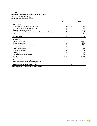### **VESTCOR INC.**

### **Statement of Operations and Change in Net Assets**

For the year ended December 31

*(in thousands of Canadian dollars)* 

|                                                                                                                                                                                                                                                                                                                                                                                                   |    | 2021   |    | 2020           |
|---------------------------------------------------------------------------------------------------------------------------------------------------------------------------------------------------------------------------------------------------------------------------------------------------------------------------------------------------------------------------------------------------|----|--------|----|----------------|
| <b>REVENUE</b>                                                                                                                                                                                                                                                                                                                                                                                    |    |        |    |                |
| Investment management fees (note 10)                                                                                                                                                                                                                                                                                                                                                              | \$ | 25,600 | \$ | 21,107         |
| Pension administration fees (note 10)                                                                                                                                                                                                                                                                                                                                                             |    | 8,461  |    | 7,760          |
| Benefits administration fees                                                                                                                                                                                                                                                                                                                                                                      |    | 1,501  |    | 1,434          |
| Amortization of deferred contributions related to capital assets                                                                                                                                                                                                                                                                                                                                  |    | 797    |    | 824            |
| Other                                                                                                                                                                                                                                                                                                                                                                                             |    | 102    |    | 117            |
| <b>Total revenue</b>                                                                                                                                                                                                                                                                                                                                                                              |    | 36,461 |    | 31,242         |
| <b>EXPENSES</b>                                                                                                                                                                                                                                                                                                                                                                                   |    |        |    |                |
| Salaries and benefits                                                                                                                                                                                                                                                                                                                                                                             |    | 22,791 |    | 18,217         |
| Information systems                                                                                                                                                                                                                                                                                                                                                                               |    | 4,897  |    | 4,527          |
| External investment management                                                                                                                                                                                                                                                                                                                                                                    |    | 3,306  |    | 3,711          |
| Securities custody                                                                                                                                                                                                                                                                                                                                                                                |    | 1,308  |    | 1,219          |
| Office and business                                                                                                                                                                                                                                                                                                                                                                               |    | 1,319  |    | 1,148          |
| Professional services                                                                                                                                                                                                                                                                                                                                                                             |    | 867    |    | 739            |
| Office rent                                                                                                                                                                                                                                                                                                                                                                                       |    | 988    |    | 857            |
| Amortization of capital assets                                                                                                                                                                                                                                                                                                                                                                    |    | 985    |    | 824            |
| <b>Total expenses</b>                                                                                                                                                                                                                                                                                                                                                                             |    | 36,461 |    | 31,242         |
| <b>Excess of revenue over expenses</b>                                                                                                                                                                                                                                                                                                                                                            |    |        |    |                |
| Unrestricted net assets, beginning of year                                                                                                                                                                                                                                                                                                                                                        |    | 2      |    | $\overline{2}$ |
| Unrestricted net assets, end of year<br>$\bullet$ and $\bullet$ and $\bullet$ and $\bullet$ and $\bullet$ and $\bullet$ and $\bullet$ and $\bullet$ and $\bullet$ and $\bullet$ and $\bullet$ and $\bullet$ and $\bullet$ and $\bullet$ and $\bullet$ and $\bullet$ and $\bullet$ and $\bullet$ and $\bullet$ and $\bullet$ and $\bullet$ and $\bullet$ and $\bullet$ and $\bullet$ and $\bullet$ | S  | 2      | S  | 2              |

*See accompanying notes to financial statements*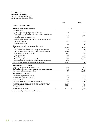### **VESTCOR INC.**

### **Statement of Cash Flow**

For the year ended December 31 *(in thousands of Canadian dollars)* 

|                                                                       | 2021              | 2020    |  |  |
|-----------------------------------------------------------------------|-------------------|---------|--|--|
| <b>OPERATING ACTIVITIES</b>                                           |                   |         |  |  |
| <b>Excess of revenue over expenses</b>                                | \$<br>\$          |         |  |  |
| Non-cash items:                                                       |                   |         |  |  |
| Amortization of capital and intangible assets                         | 985               | 824     |  |  |
| Amortization of deferred contributions related to capital and         |                   |         |  |  |
| intangible assets                                                     | (797)             | (824)   |  |  |
| Loss on disposal of capital assets                                    | 31                | 51      |  |  |
| Writedown of deferred contributions related to capital and            |                   |         |  |  |
| intangible assets                                                     | (31)              | (51)    |  |  |
| Supplemental pension                                                  |                   |         |  |  |
|                                                                       | (6)               | 46      |  |  |
| Changes in non-cash operating working capital:<br>Accounts receivable |                   |         |  |  |
|                                                                       | (2, 339)          | 4,386   |  |  |
| Long-term accounts receivable – supplemental pension                  | 35                | (18)    |  |  |
| Long-term accounts receivable – incentive compensation                | (2,639)<br>821    |         |  |  |
| Vestcor Corp accounts receivable<br>Other receivables                 |                   | (822)   |  |  |
| Prepaid expenses                                                      | (36)<br>591       | 33      |  |  |
|                                                                       |                   | (828)   |  |  |
| Accounts payable and accrued liabilities                              | (722)             | (2,037) |  |  |
| Non-current accrued liabilities for incentive compensation            | 2,639             |         |  |  |
| Net cash (used in) provided by operating activities                   | (1, 468)          | 760     |  |  |
| <b>INVESTING ACTIVITIES</b>                                           |                   |         |  |  |
| Purchases of capital and intangible assets                            | (188)             | (3,945) |  |  |
| Deferred contributions related to capital and intangible assets       | 141               | 1,210   |  |  |
| Net cash used in investing activities                                 | (47)              | (2,735) |  |  |
| <b>FINANCING ACTIVITY</b>                                             |                   |         |  |  |
| Payment of supplemental pension                                       | (28)              | (27)    |  |  |
| Proceeds from Vestcor Corp loan                                       | 47                | 2,735   |  |  |
| Loan Payments                                                         | (119)             |         |  |  |
| Net cash provided by (used in) financing activity                     | (100)             | 2,708   |  |  |
| (DECREASE) INCREASE IN CASH DURING YEAR                               | (1,615)           | 733     |  |  |
| Cash, beginning of year                                               | 2,716             | 1,983   |  |  |
| <b>CASH, END OF YEAR</b>                                              | \$<br>\$<br>1,101 | 2,716   |  |  |

*See accompanying notes to financial statements*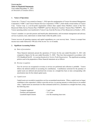### **1. Nature of Operations**

Vestcor Inc. ("Vestcor") was created on January 1, 2018 upon the amalgamation of Vestcor Investment Management Corporation ("VIMC") and Vestcor Pension Services Corporation ("VPSC"), both wholly-owned entities of Vestcor Corp. Vestcor Corp. is a not-for-profit organization without share capital whose Members consist of the New Brunswick Public Service Pension Plan ("NBPSPP") and New Brunswick Teachers' Pension Plan ("NBTPP"). The Vestcor operating entities were transferred to Vestcor Corp. from the Province of New Brunswick on October 1, 2016.

Vestcor's mandate is to provide pension and benefit plan administration, and investment management and advisory services to pension, trust, endowment or similar funds within the public sector.

Vestcor recovers all operating expenses and capital expenditures on a cost recovery basis. Vestcor is exempt from income taxes under Subsection 149(1)(l) of the *Income Tax Act* (Canada).

### **2. Significant Accounting Policies**

*(a) Basis of presentation*

These financial statements present the operations of Vestcor for the year ended December 31, 2021 with comparative figures for the year ended December 31, 2020. They have been prepared in accordance with CPA Handbook Part III – *Accounting Standards for Not-for-Profit Organizations*. The significant accounting policies used in the preparation of these financial statements are as follows:

*(b) Revenue recognition*

Fees for services are recognized in revenue as services are performed and collection is probable. Vestcor follows the deferral method of accounting for contributions. Contributions restricted for the purchase of capital assets are deferred and amortized into revenue on a straight-line basis at rates corresponding with amortization rates for the related capital assets.

*(c) Capital assets*

Capital assets are recorded at acquisition cost less accumulated amortization. When a capital asset no longer contributes to the corporation's ability to provide services, its carrying amount is written down to its residual value. Capital assets are amortized over their estimated useful lives, calculated on a straight-line basis, using the following rates:

| Computer equipment      | - 3 and 5 years                 |
|-------------------------|---------------------------------|
| Furniture and equipment | $-12.5$ years                   |
| Leasehold improvements  | - over the remaining lease term |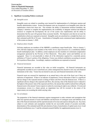### **2. Significant Accounting Policies** *(continued)*

### *(d) Intangible assets*

Intangible assets are related to consulting costs incurred for implementation of a third-party pension and benefits administration system. System development costs are recognized as an intangible asset when the capitalization criteria have been met. This includes: the ability to demonstrate technical feasibility; the company's intention to complete the implementation; the availability of adequate technical and financial resources to complete the development; the use of the system once implemented; and the ability to demonstrate that the asset will generate future economic benefits. Development costs that do not meet the capitalization criteria are expensed as incurred. Intangible assets are amortized on a straight-line basis over their estimated useful life of 10 years. Amortization of intangible assets commenced upon implementation of the system on January 1, 2020.

### *(e) Employee future benefits*

Full-time employees are members of the NBPSPP, a contributory target benefit plan. Prior to January 1, 2014, full-time employees were members of the *Public Service Superannuation Act*, a contributory defined benefit multiemployer plan. In addition, certain employees are also members of a retirement compensation arrangement sponsored by the Province of New Brunswick. These plans' assets and liabilities are not segregated. Since it is not practicable to obtain all of the information required for a materially precise attribution of Vestcor's portion of the obligations, Vestcor uses defined contribution accounting to account for its portion of these plans. Accordingly, employer contributions are expensed as incurred.

### *(f) Financial instruments*

Financial instruments are recorded at fair value on initial recognition. All financial instruments are subsequently recorded at cost or amortized cost, unless management has elected to carry any such financial instruments at fair value. Vestcor has not elected to carry any such financial instruments at fair value.

Financial assets are assessed for impairment on an annual basis at the end of the fiscal year if there are indicators of impairment. If there is an indicator of impairment, Vestcor determines if there is a significant adverse change in the expected amount or timing of future cash flows from the financial asset. If there is a significant adverse change in the expected cash flows, the carrying value of the financial asset is reduced to the highest of the present value of the expected cash flows, the amount that could be realized from selling the financial asset or the amount Vestcor expects to realize by exercising its right to any collateral. If events and circumstances reverse in a future period, an impairment loss will be reversed to the extent of the improvement, not exceeding the initial carrying value.

### *(g) Use of estimates*

The preparation of the financial statements requires management to make estimates and assumptions that affect the reported amounts of assets and liabilities and disclosure of contingent assets and liabilities at the date of the financial statements and the reported amounts of revenue and expenses during the year. Key items subject to such estimates and assumptions include the net recoverable amount of accounts receivable, determination of the estimated useful life and selection of rates of amortization of capital assets *(note 3)* and deferred contributions *(note 7)* and the estimated actuarial liability for supplemental pension *(note 6).*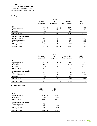*(in thousands of Canadian dollars)*

### **3. Capital Assets**

|                                 |    | <b>Furniture</b><br>Computer<br>and<br>equipment<br>equipment |    | Leasehold<br>improvements |               |       | 2021<br><b>Total</b> |       |  |
|---------------------------------|----|---------------------------------------------------------------|----|---------------------------|---------------|-------|----------------------|-------|--|
| Cost                            |    |                                                               |    |                           |               |       |                      |       |  |
| Opening balance                 | \$ | 1,827                                                         | S  | 595                       | <sup>\$</sup> | 2,374 | <sup>\$</sup>        | 4,796 |  |
| Purchases                       |    | 130                                                           |    | 26                        |               | 32    |                      | 188   |  |
| Disposals                       |    | (598)                                                         |    | (12)                      |               | (168) |                      | (778) |  |
| Closing balance                 |    | 1,359                                                         |    | 609                       |               | 2,238 |                      | 4,206 |  |
| <b>Accumulated amortization</b> |    |                                                               |    |                           |               |       |                      |       |  |
| Opening balance                 |    | 856                                                           |    | 78                        |               | 149   |                      | 1,083 |  |
| Amortization expense            |    | 352                                                           |    | 48                        |               | 113   |                      | 513   |  |
| Disposals                       |    | (586)                                                         |    | (11)                      |               | (150) |                      | (747) |  |
| Closing balance                 |    | 622                                                           |    | 115                       |               | 112   |                      | 849   |  |
| Net book value                  | J  | 737                                                           | \$ | 494                       | \$            | 2,126 | \$                   | 3,357 |  |

|                                 | Computer<br>equipment | <b>Furniture</b><br>and<br>equipment |    | Leasehold<br>improvements |               | 2020<br><b>Total</b> |
|---------------------------------|-----------------------|--------------------------------------|----|---------------------------|---------------|----------------------|
| Cost                            |                       |                                      |    |                           |               |                      |
| Opening balance                 | \$<br>2,213           | \$<br>538                            | S  | 541                       | <sup>\$</sup> | 3,292                |
| Purchases                       | 1,039                 | 411                                  |    | 2,206                     |               | 3,656                |
| Disposals                       | (1, 425)              | (354)                                |    | (373)                     |               | (2,152)              |
| Closing balance                 | 1,827                 | 595                                  |    | 2,374                     |               | 4,796                |
| <b>Accumulated amortization</b> |                       |                                      |    |                           |               |                      |
| Opening balance                 | 1.914                 | 417                                  |    | 449                       |               | 2,780                |
| Amortization expense            | 367                   | 15                                   |    | 22                        |               | 404                  |
| Disposals                       | (1,425)               | (354)                                |    | (322)                     |               | (2,101)              |
| Closing balance                 | 856                   | 78                                   |    | 149                       |               | 1,083                |
| Net book value                  | \$<br>971             | \$<br>517                            | \$ | 2,225                     | \$            | 3,713                |

### **4. Intangible assets**

|                                 |    | 2021<br><b>Total</b> | 2020<br>Total |  |  |
|---------------------------------|----|----------------------|---------------|--|--|
| Cost                            |    |                      |               |  |  |
| Opening balance                 | \$ | 4,461                | 4,172<br>S    |  |  |
| Purchases                       |    |                      | 289           |  |  |
| Closing balance                 |    | 4,461                | 4,461         |  |  |
| <b>Accumulated amortization</b> |    |                      |               |  |  |
| Opening balance                 |    | 420                  |               |  |  |
| Amortization expense            |    | 472                  | 420           |  |  |
| Closing balance                 |    | 892                  | 420           |  |  |
| Net book value                  | S  | 3,569                | S<br>4.041    |  |  |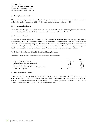### **4. Intangible assets** *(continued)*

There were no development costs incurred during the year in connection with the implementation of a new pension and benefits administration system (2020 - \$289). Amortization commenced in January 2020.

### **5. Government Remittances**

Included in accounts payable and accrued liabilities in the Statement of Financial Position are government remittances at December 31, 2021 of \$131 (2020 - \$57) which include amounts payable for GST/HST.

### **6. Supplemental Pension**

Vestcor has an estimated liability of \$355 (2020 - \$389) for special supplemental pension relating to past service awarded during 2003-2004. The accrued liability was determined by an actuarial valuation carried out as of December 31, 2021. The accrued liability is equivalent to the present value of the expected future payments. The ultimate cost to Vestcor will vary based on the rise in the consumer price index and demographic factors. Changes in the expected liability are recorded in the period the change occurs. Payments are recovered in fees charged to clients.

### **7. Deferred Contributions Related to Capital and Intangible Assets**

The balance of unamortized deferred contributions consists of the following:

|                                                       | 2021  | 2020  |
|-------------------------------------------------------|-------|-------|
| Balance, beginning of period                          | 5.019 | 4,684 |
| Additional contributions received, net                | 141   | 1.210 |
| Less amounts amortized to revenue                     | (797) | (824) |
| Less write down related to disposal of capital assets | 31    | (51   |
| Balance, end of period                                | 4.332 | 5.019 |

### **8. Employee Future Benefits**

Vestcor is a participating employer in the NBPSPP. For the year ended December 31, 2021, Vestcor expensed contributions of \$1,278 (2020 - \$1,190) under the terms of the NBPSPP pension plan. Vestcor is also a participating employer in a retirement compensation arrangement ("RCA"). For the year ended December 31, 2021, Vestcor expensed contributions of \$126 (2020 - \$154) under the terms of the RCA.